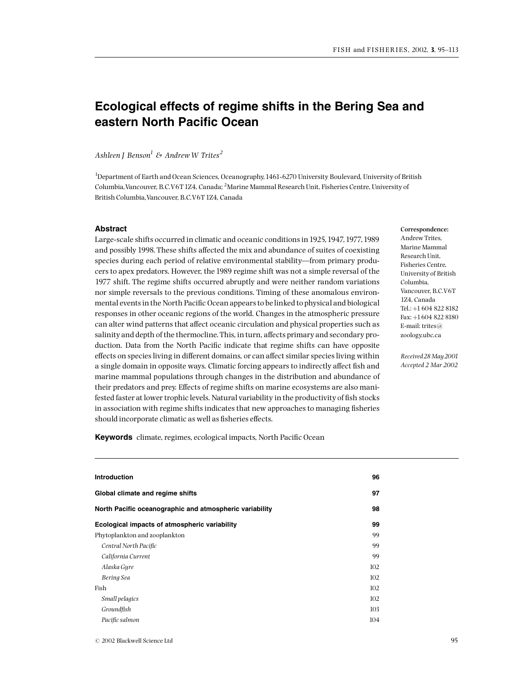# Ecological effects of regime shifts in the Bering Sea and eastern North Pacific Ocean

Ashleen J Benson<sup>1</sup> & Andrew W Trites<sup>2</sup>

<sup>1</sup>Department of Earth and Ocean Sciences, Oceanography, 1461-6270 University Boulevard, University of British Columbia, Vancouver, B.C.V6T 1Z4, Canada; <sup>2</sup>Marine Mammal Research Unit, Fisheries Centre, University of British Columbia,Vancouver, B.C.V6T1Z4, Canada

# Abstract

Large-scale shifts occurred in climatic and oceanic conditions in1925,1947,1977,1989 and possibly 1998. These shifts affected the mix and abundance of suites of coexisting species during each period of relative environmental stability-from primary producers to apex predators. However, the 1989 regime shift was not a simple reversal of the 1977 shift. The regime shifts occurred abruptly and were neither random variations nor simple reversals to the previous conditions. Timing of these anomalous environmental events in the North Pacific Ocean appears to be linked to physical and biological responses in other oceanic regions of the world. Changes in the atmospheric pressure can alter wind patterns that affect oceanic circulation and physical properties such as salinity and depth of the thermocline. This, in turn, affects primary and secondary production. Data from the North Pacific indicate that regime shifts can have opposite effects on species living in different domains, or can affect similar species living within a single domain in opposite ways. Climatic forcing appears to indirectly affect fish and marine mammal populations through changes in the distribution and abundance of their predators and prey. Effects of regime shifts on marine ecosystems are also manifested faster at lower trophic levels. Natural variability in the productivity of fish stocks in association with regime shifts indicates that new approaches to managing fisheries should incorporate climatic as well as fisheries effects.

Correspondence: Andrew Trites, Marine Mammal Research Unit, Fisheries Centre, University of British Columbia, Vancouver, B.C.V6T 1Z4, Canada Tel.: +1 604 822 8182 Fax: +1604 822 8180 E-mail: trites@ zoology.ubc.ca

Received28May2001 Accepted 2 Mar 2002

Keywords climate, regimes, ecological impacts, North Pacific Ocean

| <b>Introduction</b>                                     | 96  |
|---------------------------------------------------------|-----|
| Global climate and regime shifts                        | 97  |
| North Pacific oceanographic and atmospheric variability | 98  |
| Ecological impacts of atmospheric variability           | 99  |
| Phytoplankton and zooplankton                           | 99  |
| Central North Pacific                                   | 99  |
| California Current                                      | 99  |
| Alaska Gyre                                             | 102 |
| Bering Sea                                              | 102 |
| Fish                                                    | 102 |
| Small pelagics                                          | 102 |
| Groundfish                                              | 103 |
| Pacific salmon                                          | 104 |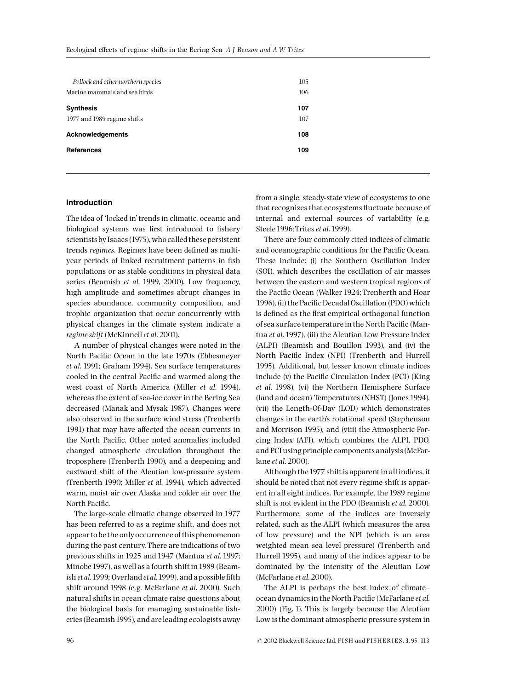| 107<br>107<br>108<br>109 | Pollock and other northern species<br>Marine mammals and sea birds | 105<br>106 |
|--------------------------|--------------------------------------------------------------------|------------|
|                          | <b>Synthesis</b><br>1977 and 1989 regime shifts                    |            |
|                          | <b>Acknowledgements</b>                                            |            |
|                          | <b>References</b>                                                  |            |

# Introduction

The idea of 'locked in' trends in climatic, oceanic and biological systems was first introduced to fishery scientists by Isaacs (1975), who called these persistent trends regimes. Regimes have been defined as multiyear periods of linked recruitment patterns in fish populations or as stable conditions in physical data series (Beamish et al. 1999, 2000). Low frequency, high amplitude and sometimes abrupt changes in species abundance, community composition, and trophic organization that occur concurrently with physical changes in the climate system indicate a regime shift (McKinnell et al. 2001).

A number of physical changes were noted in the North Pacific Ocean in the late 1970s (Ebbesmeyer et al. 1991; Graham 1994). Sea surface temperatures cooled in the central Pacific and warmed along the west coast of North America (Miller et al. 1994), whereas the extent of sea-ice cover in the Bering Sea decreased (Manak and Mysak 1987). Changes were also observed in the surface wind stress (Trenberth 1991) that may have affected the ocean currents in the North Pacific. Other noted anomalies included changed atmospheric circulation throughout the troposphere (Trenberth 1990), and a deepening and eastward shift of the Aleutian low-pressure system (Trenberth 1990; Miller et al. 1994), which advected warm, moist air over Alaska and colder air over the North Pacific.

The large-scale climatic change observed in 1977 has been referred to as a regime shift, and does not appear to be the only occurrence of this phenomenon during the past century. There are indications of two previous shifts in 1925 and 1947 (Mantua et al. 1997; Minobe1997), as well as a fourth shift in1989 (Beamish et al. 1999; Overland et al. 1999), and a possible fifth shift around 1998 (e.g. McFarlane et al. 2000). Such natural shifts in ocean climate raise questions about the biological basis for managing sustainable fisheries (Beamish1995), and are leading ecologists away

from a single, steady-state view of ecosystems to one that recognizes that ecosystems fluctuate because of internal and external sources of variability (e.g. Steele 1996; Trites et al. 1999).

There are four commonly cited indices of climatic and oceanographic conditions for the Pacific Ocean. These include: (i) the Southern Oscillation Index (SOI), which describes the oscillation of air masses between the eastern and western tropical regions of the Pacific Ocean (Walker 1924; Trenberth and Hoar 1996), (ii) the Pacific Decadal Oscillation (PDO) which is defined as the first empirical orthogonal function of sea surface temperature in the North Pacific (Mantua et al. 1997), (iii) the Aleutian Low Pressure Index (ALPI) (Beamish and Bouillon 1993), and (iv) the North Pacific Index (NPI) (Trenberth and Hurrell 1995). Additional, but lesser known climate indices include  $(v)$  the Pacific Circulation Index (PCI) (King et al. 1998), (vi) the Northern Hemisphere Surface (land and ocean) Temperatures (NHST) (Jones 1994), (vii) the Length-Of-Day (LOD) which demonstrates changes in the earth's rotational speed (Stephenson and Morrison 1995), and (viii) the Atmospheric Forcing Index (AFI), which combines the ALPI, PDO, and PCI using principle components analysis (McFarlane et al. 2000).

Although the1977 shift is apparent in all indices, it should be noted that not every regime shift is apparent in all eight indices. For example, the 1989 regime shift is not evident in the PDO (Beamish et al. 2000). Furthermore, some of the indices are inversely related, such as the ALPI (which measures the area of low pressure) and the NPI (which is an area weighted mean sea level pressure) (Trenberth and Hurrell 1995), and many of the indices appear to be dominated by the intensity of the Aleutian Low (McFarlane et al. 2000).

The ALPI is perhaps the best index of climate^ ocean dynamics in the North Pacific (McFarlane et al. 2000) (Fig. 1). This is largely because the Aleutian Low is the dominant atmospheric pressure system in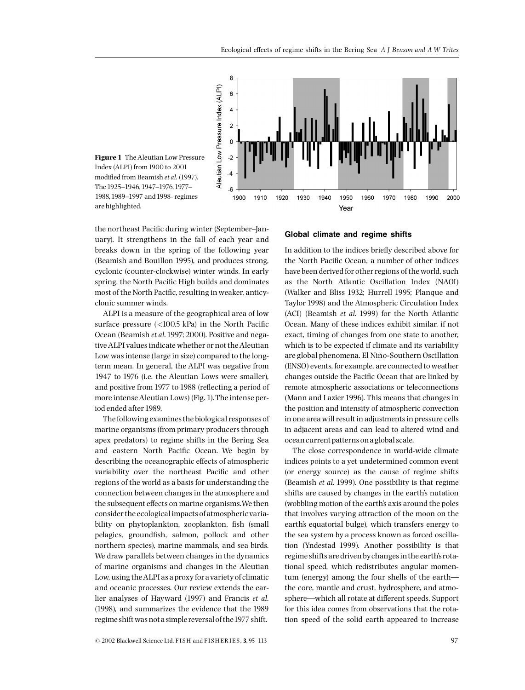

Figure 1 The Aleutian Low Pressure Index (ALPI) from1900 to 2001 modified from Beamish et al. (1997). The 1925-1946, 1947-1976, 1977-1988,1989^1997 and1998- regimes are highlighted.

the northeast Pacific during winter (September-January). It strengthens in the fall of each year and breaks down in the spring of the following year (Beamish and Bouillon 1995), and produces strong, cyclonic (counter-clockwise) winter winds. In early spring, the North Pacific High builds and dominates most of the North Pacific, resulting in weaker, anticyclonic summer winds.

ALPI is a measure of the geographical area of low surface pressure  $\left($  < 100.5 kPa) in the North Pacific Ocean (Beamish et al.1997; 2000). Positive and negativeALPI values indicate whether or not theAleutian Low was intense (large in size) compared to the longterm mean. In general, the ALPI was negative from 1947 to 1976 (i.e. the Aleutian Lows were smaller), and positive from 1977 to 1988 (reflecting a period of more intense Aleutian Lows) (Fig. 1). The intense period ended after 1989.

The following examines the biological responses of marine organisms (from primary producers through apex predators) to regime shifts in the Bering Sea and eastern North Pacific Ocean. We begin by describing the oceanographic effects of atmospheric variability over the northeast Pacific and other regions of the world as a basis for understanding the connection between changes in the atmosphere and the subsequent effects on marine organisms. We then consider the ecological impacts of atmospheric variability on phytoplankton, zooplankton, fish (small pelagics, groundfish, salmon, pollock and other northern species), marine mammals, and sea birds. We draw parallels between changes in the dynamics of marine organisms and changes in the Aleutian Low, using theALPI as a proxy for avariety of climatic and oceanic processes. Our review extends the earlier analyses of Hayward (1997) and Francis et al. (1998), and summarizes the evidence that the 1989 regime shift was not a simple reversal of the1977 shift.

#### Global climate and regime shifts

In addition to the indices briefly described above for the North Pacific Ocean, a number of other indices have been derived for other regions of the world, such as the North Atlantic Oscillation Index (NAOI) (Walker and Bliss 1932; Hurrell 1995; Planque and Taylor 1998) and the Atmospheric Circulation Index (ACI) (Beamish et al. 1999) for the North Atlantic Ocean. Many of these indices exhibit similar, if not exact, timing of changes from one state to another, which is to be expected if climate and its variability are global phenomena. El Niño-Southern Oscillation (ENSO) events, for example, are connected to weather changes outside the Pacific Ocean that are linked by remote atmospheric associations or teleconnections (Mann and Lazier 1996). This means that changes in the position and intensity of atmospheric convection in one area will result in adjustments in pressure cells in adjacent areas and can lead to altered wind and ocean current patterns ona global scale.

The close correspondence in world-wide climate indices points to a yet undetermined common event (or energy source) as the cause of regime shifts (Beamish et al. 1999). One possibility is that regime shifts are caused by changes in the earth's nutation (wobbling motion of the earth's axis around the poles that involves varying attraction of the moon on the earth's equatorial bulge), which transfers energy to the sea system by a process known as forced oscillation (Yndestad 1999). Another possibility is that regime shifts are driven bychanges in the earth's rotational speed, which redistributes angular momentum (energy) among the four shells of the earth the core, mantle and crust, hydrosphere, and atmosphere—which all rotate at different speeds. Support for this idea comes from observations that the rotation speed of the solid earth appeared to increase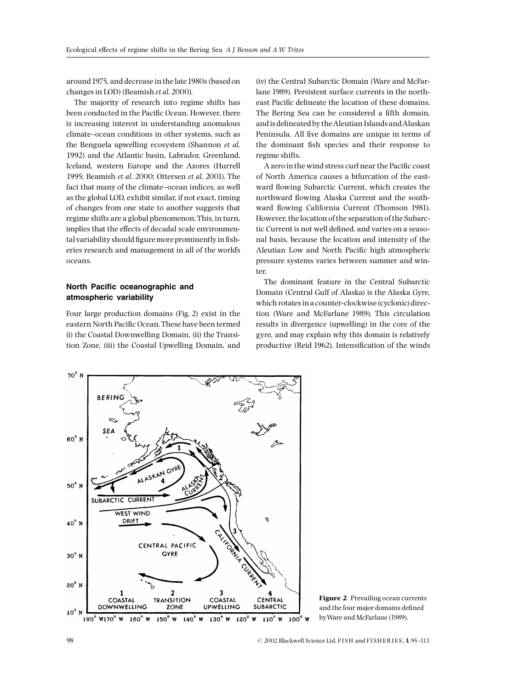around1975, and decrease in the late1980s (based on changes in LOD) (Beamish et al. 2000).

The majority of research into regime shifts has been conducted in the Pacific Ocean. However, there is increasing interest in understanding anomalous climate-ocean conditions in other systems, such as the Benguela upwelling ecosystem (Shannon et al. 1992) and the Atlantic basin, Labrador, Greenland, Iceland, western Europe and the Azores (Hurrell 1995; Beamish et al. 2000; Ottersen et al. 2001). The fact that many of the climate-ocean indices, as well as the global LOD, exhibit similar, if not exact, timing of changes from one state to another suggests that regime shifts are a global phenomenon. This, in turn, implies that the effects of decadal scale environmental variability should figure more prominently in fisheries research and management in all of the world's oceans.

# North Pacific oceanographic and atmospheric variability

Four large production domains (Fig. 2) exist in the eastern North Pacific Ocean. These have been termed (i) the Coastal Downwelling Domain, (ii) the Transition Zone, (iii) the Coastal Upwelling Domain, and

(iv) the Central Subarctic Domain (Ware and McFarlane 1989). Persistent surface currents in the northeast Pacific delineate the location of these domains. The Bering Sea can be considered a fifth domain, and is delineated by theAleutian Islands andAlaskan Peninsula. All five domains are unique in terms of the dominant fish species and their response to regime shifts.

A zero in the wind stress curl near the Pacific coast of North America causes a bifurcation of the eastward flowing Subarctic Current, which creates the northward flowing Alaska Current and the southward flowing California Current (Thomson 1981). However, the location of the separation of the Subarctic Current is not well defined, and varies on a seasonal basis, because the location and intensity of the Aleutian Low and North Pacific high atmospheric pressure systems varies between summer and winter.

The dominant feature in the Central Subarctic Domain (Central Gulf of Alaska) is the Alaska Gyre, which rotates in a counter-clockwise (cyclonic) direction (Ware and McFarlane 1989). This circulation results in divergence (upwelling) in the core of the gyre, and may explain why this domain is relatively productive (Reid 1962). Intensification of the winds



Figure 2 Prevailing ocean currents and the four major domains defined byWare and McFarlane (1989).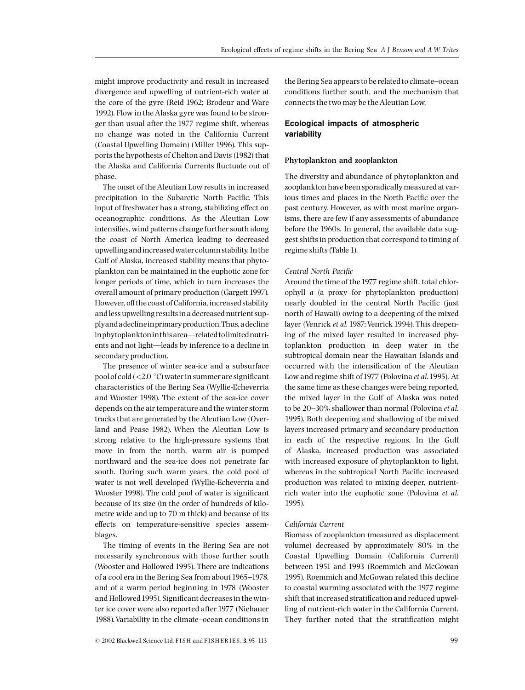might improve productivity and result in increased divergence and upwelling of nutrient-rich water at the core of the gyre (Reid 1962; Brodeur and Ware 1992). Flow in the Alaska gyre was found to be stronger than usual after the 1977 regime shift, whereas no change was noted in the California Current (Coastal Upwelling Domain) (Miller 1996). This supports the hypothesis of Chelton and Davis (1982) that the Alaska and California Currents fluctuate out of phase.

The onset of the Aleutian Low results in increased precipitation in the Subarctic North Pacific. This input of freshwater has a strong, stabilizing effect on oceanographic conditions. As the Aleutian Low intensifies, wind patterns change further south along the coast of North America leading to decreased upwelling and increased watercolumn stability. In the Gulf of Alaska, increased stability means that phytoplankton can be maintained in the euphotic zone for longer periods of time, which in turn increases the overall amount of primary production (Gargett 1997). However, off the coast of California, increased stability and less upwelling results in a decreased nutrient supplyandadeclineinprimaryproduction.Thus,adecline in phytoplankton in this area-related to limited nutrients and not light—leads by inference to a decline in secondary production.

The presence of winter sea-ice and a subsurface pool of cold (<2.0  $\degree$ C) water in summer are significant characteristics of the Bering Sea (Wyllie-Echeverria and Wooster 1998). The extent of the sea-ice cover depends on the air temperature and the winter storm tracks that are generated by the Aleutian Low (Overland and Pease 1982). When the Aleutian Low is strong relative to the high-pressure systems that move in from the north, warm air is pumped northward and the sea-ice does not penetrate far south. During such warm years, the cold pool of water is not well developed (Wyllie-Echeverria and Wooster 1998). The cold pool of water is significant because of its size (in the order of hundreds of kilometre wide and up to 70 m thick) and because of its effects on temperature-sensitive species assemblages.

The timing of events in the Bering Sea are not necessarily synchronous with those further south (Wooster and Hollowed 1995). There are indications of a cool era in the Bering Sea from about 1965-1978, and of a warm period beginning in 1978 (Wooster and Hollowed 1995). Significant decreases in the winter ice cover were also reported after 1977 (Niebauer 1988).Variability in the climate^ocean conditions in

 $\odot$  2002 Blackwell Science Ltd, FISH and FISHERIES, 3, 95-113 99

the Bering Sea appears to be related to climate-ocean conditions further south, and the mechanism that connects the two may be the Aleutian Low.

# Ecological impacts of atmospheric variability

## Phytoplankton and zooplankton

The diversity and abundance of phytoplankton and zooplankton have been sporadically measured at various times and places in the North Pacific over the past century. However, as with most marine organisms, there are few if any assessments of abundance before the 1960s. In general, the available data suggest shifts in production that correspond to timing of regime shifts (Table 1).

#### Central North Pacific

Around the time of the1977 regime shift, total chlorophyll a (a proxy for phytoplankton production) nearly doubled in the central North Pacific (just north of Hawaii) owing to a deepening of the mixed layer (Venrick et al. 1987; Venrick 1994). This deepening of the mixed layer resulted in increased phytoplankton production in deep water in the subtropical domain near the Hawaiian Islands and occurred with the intensification of the Aleutian Low and regime shift of 1977 (Polovina et al. 1995). At the same time as these changes were being reported, the mixed layer in the Gulf of Alaska was noted to be  $20-30%$  shallower than normal (Polovina et al. 1995). Both deepening and shallowing of the mixed layers increased primary and secondary production in each of the respective regions. In the Gulf of Alaska, increased production was associated with increased exposure of phytoplankton to light, whereas in the subtropical North Pacific increased production was related to mixing deeper, nutrientrich water into the euphotic zone (Polovina et al. 1995).

## California Current

Biomass of zooplankton (measured as displacement volume) decreased by approximately 80% in the Coastal Upwelling Domain (California Current) between 1951 and 1993 (Roemmich and McGowan 1995). Roemmich and McGowan related this decline to coastal warming associated with the 1977 regime shift that increased stratification and reduced upwelling of nutrient-rich water in the California Current. They further noted that the stratification might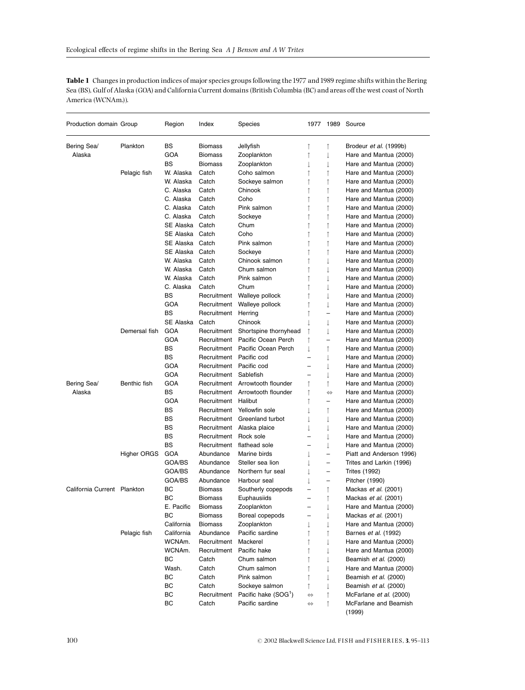Table 1 Changes in production indices of major species groups following the 1977 and 1989 regime shifts within the Bering Sea (BS), Gulf of Alaska (GOA) and California Current domains (British Columbia (BC) and areas off the west coast of North America (WCNAm.)).

| Production domain Group     |                    | Region           | Index                      | <b>Species</b>                             |                          |                               | 1977 1989 Source              |
|-----------------------------|--------------------|------------------|----------------------------|--------------------------------------------|--------------------------|-------------------------------|-------------------------------|
| Bering Sea/                 | Plankton           | BS               | Biomass                    | Jellyfish                                  | ↑                        | ↑                             | Brodeur <i>et al.</i> (1999b) |
| Alaska                      |                    | GOA              | Biomass                    | Zooplankton                                | ↑                        |                               | Hare and Mantua (2000)        |
|                             |                    | <b>BS</b>        | Biomass                    | Zooplankton                                | I                        |                               | Hare and Mantua (2000)        |
|                             | Pelagic fish       | W. Alaska        | Catch                      | Coho salmon                                | $\uparrow$               | $\uparrow$                    | Hare and Mantua (2000)        |
|                             |                    | W. Alaska        | Catch                      | Sockeye salmon                             | ↑                        | ↑                             | Hare and Mantua (2000)        |
|                             |                    | C. Alaska        | Catch                      | Chinook                                    | ↑                        | ↑                             | Hare and Mantua (2000)        |
|                             |                    | C. Alaska        | Catch                      | Coho                                       | $\uparrow$               | $\uparrow$                    | Hare and Mantua (2000)        |
|                             |                    | C. Alaska        | Catch                      | Pink salmon                                | ↑                        | ↑                             | Hare and Mantua (2000)        |
|                             |                    | C. Alaska        | Catch                      | Sockeye                                    | $\uparrow$               | ↑                             | Hare and Mantua (2000)        |
|                             |                    | SE Alaska        | Catch                      | Chum                                       | $\uparrow$               | $\uparrow$                    | Hare and Mantua (2000)        |
|                             |                    | SE Alaska        | Catch                      | Coho                                       | ↑                        | ↑                             | Hare and Mantua (2000)        |
|                             |                    | SE Alaska        | Catch                      | Pink salmon                                | ↑                        |                               | Hare and Mantua (2000)        |
|                             |                    | SE Alaska        | Catch                      | Sockeye                                    | $\uparrow$               | $\uparrow$                    | Hare and Mantua (2000)        |
|                             |                    | W. Alaska        | Catch                      | Chinook salmon                             | ↑                        |                               | Hare and Mantua (2000)        |
|                             |                    | W. Alaska        | Catch                      | Chum salmon                                | ↑                        |                               | Hare and Mantua (2000)        |
|                             |                    | W. Alaska        | Catch                      | Pink salmon                                | $\uparrow$               | T                             | Hare and Mantua (2000)        |
|                             |                    | C. Alaska        | Catch                      | Chum                                       | ↑                        |                               | Hare and Mantua (2000)        |
|                             |                    | <b>BS</b>        | Recruitment                | Walleye pollock                            | ↑                        |                               | Hare and Mantua (2000)        |
|                             |                    | GOA              | Recruitment                | Walleye pollock                            | $\uparrow$               | ↓                             | Hare and Mantua (2000)        |
|                             |                    | <b>BS</b>        | Recruitment                | Herring                                    |                          | $\overline{\phantom{0}}$      | Hare and Mantua (2000)        |
|                             |                    | SE Alaska        | Catch                      | Chinook                                    | ↑                        |                               |                               |
|                             | Demersal fish      | <b>GOA</b>       | Recruitment                | Shortspine thornyhead                      | $\downarrow$             |                               | Hare and Mantua (2000)        |
|                             |                    |                  |                            |                                            | ↑                        | T<br>$\overline{\phantom{0}}$ | Hare and Mantua (2000)        |
|                             |                    | GOA<br><b>BS</b> | Recruitment<br>Recruitment | Pacific Ocean Perch<br>Pacific Ocean Perch | ↑                        |                               | Hare and Mantua (2000)        |
|                             |                    |                  |                            |                                            | $\downarrow$             | ↑                             | Hare and Mantua (2000)        |
|                             |                    | <b>BS</b>        | Recruitment                | Pacific cod                                | $\overline{\phantom{0}}$ | T                             | Hare and Mantua (2000)        |
|                             |                    | GOA              | Recruitment                | Pacific cod                                | $\overline{\phantom{0}}$ |                               | Hare and Mantua (2000)        |
|                             |                    | <b>GOA</b>       | Recruitment                | Sablefish                                  |                          | T                             | Hare and Mantua (2000)        |
| Bering Sea/                 | Benthic fish       | <b>GOA</b>       |                            | Recruitment Arrowtooth flounder            | ↑                        | $\uparrow$                    | Hare and Mantua (2000)        |
| Alaska                      |                    | BS               |                            | Recruitment Arrowtooth flounder            | ↑                        | $\Leftrightarrow$             | Hare and Mantua (2000)        |
|                             |                    | <b>GOA</b>       | Recruitment                | Halibut                                    | ↑                        | $\overline{\phantom{0}}$      | Hare and Mantua (2000)        |
|                             |                    | BS               | Recruitment                | Yellowfin sole                             | J                        | ↑                             | Hare and Mantua (2000)        |
|                             |                    | BS               | Recruitment                | Greenland turbot                           | T                        |                               | Hare and Mantua (2000)        |
|                             |                    | ВS               |                            | Recruitment Alaska plaice                  | Ť                        | $\downarrow$                  | Hare and Mantua (2000)        |
|                             |                    | BS               | Recruitment                | Rock sole                                  | $\overline{\phantom{0}}$ | ↓                             | Hare and Mantua (2000)        |
|                             |                    | <b>BS</b>        | Recruitment                | flathead sole                              | $\overline{\phantom{0}}$ | t                             | Hare and Mantua (2000)        |
|                             | <b>Higher ORGS</b> | GOA              | Abundance                  | Marine birds                               | $\downarrow$             | $\equiv$                      | Piatt and Anderson 1996)      |
|                             |                    | GOA/BS           | Abundance                  | Steller sea lion                           | t                        | $\qquad \qquad -$             | Trites and Larkin (1996)      |
|                             |                    | GOA/BS           | Abundance                  | Northern fur seal                          | t                        | $\overline{\phantom{0}}$      | <b>Trites (1992)</b>          |
|                             |                    | GOA/BS           | Abundance                  | Harbour seal                               | Ť                        | $\overline{\phantom{0}}$      | Pitcher (1990)                |
| California Current Plankton |                    | BC               | <b>Biomass</b>             | Southerly copepods                         | $\overline{\phantom{0}}$ | $\uparrow$                    | Mackas et al. (2001)          |
|                             |                    | BC               | <b>Biomass</b>             | Euphausiids                                | -                        | $\uparrow$                    | Mackas et al. (2001)          |
|                             |                    | E. Pacific       | Biomass                    | Zooplankton                                |                          | $\downarrow$                  | Hare and Mantua (2000)        |
|                             |                    | BC               | Biomass                    | Boreal copepods                            |                          | ↓                             | Mackas et al. (2001)          |
|                             |                    | California       | Biomass                    | Zooplankton                                | t                        |                               | Hare and Mantua (2000)        |
|                             | Pelagic fish       | California       | Abundance                  | Pacific sardine                            | ↑                        |                               | Barnes et al. (1992)          |
|                             |                    | WCNAm.           | Recruitment                | Mackerel                                   | ↑                        |                               | Hare and Mantua (2000)        |
|                             |                    | WCNAm.           | Recruitment                | Pacific hake                               | ↑                        |                               | Hare and Mantua (2000)        |
|                             |                    | ВC               | Catch                      | Chum salmon                                | $\uparrow$               |                               | Beamish et al. (2000)         |
|                             |                    | Wash.            | Catch                      | Chum salmon                                | ↑                        |                               | Hare and Mantua (2000)        |
|                             |                    | ВC               | Catch                      | Pink salmon                                | $\uparrow$               |                               | Beamish et al. (2000)         |
|                             |                    | BС               | Catch                      | Sockeye salmon                             | ↑                        | T                             | Beamish et al. (2000)         |
|                             |                    | ВC               | Recruitment                | Pacific hake (SOG <sup>1</sup> )           | $\Leftrightarrow$        |                               | McFarlane et al. (2000)       |
|                             |                    | ВC               | Catch                      | Pacific sardine                            | $\Leftrightarrow$        |                               | McFarlane and Beamish         |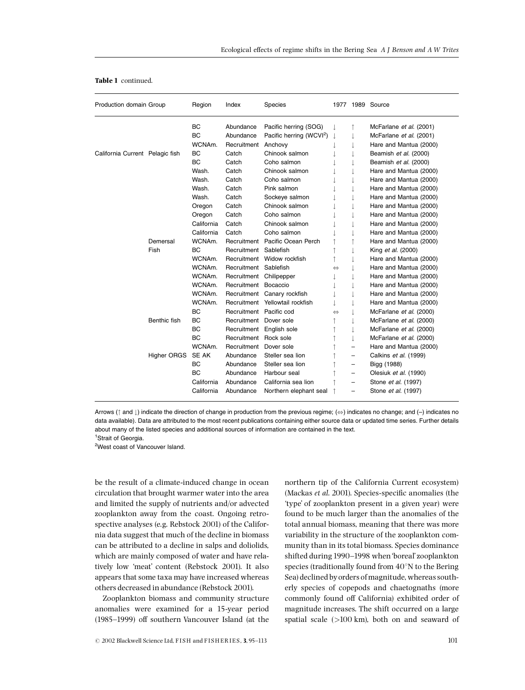| Production domain Group         |                    | Region       | Index                   | <b>Species</b>                       |                   |   | 1977 1989 Source           |
|---------------------------------|--------------------|--------------|-------------------------|--------------------------------------|-------------------|---|----------------------------|
|                                 |                    | <b>BC</b>    | Abundance               | Pacific herring (SOG)                |                   |   | McFarlane et al. (2001)    |
|                                 |                    | <b>BC</b>    | Abundance               | Pacific herring (WCVI <sup>2</sup> ) |                   |   | McFarlane et al. (2001)    |
|                                 |                    | WCNAm.       | Recruitment Anchovy     |                                      |                   |   | Hare and Mantua (2000)     |
| California Current Pelagic fish |                    | <b>BC</b>    | Catch                   | Chinook salmon                       |                   |   | Beamish et al. (2000)      |
|                                 |                    | <b>BC</b>    | Catch                   | Coho salmon                          |                   |   | Beamish et al. (2000)      |
|                                 |                    | Wash.        | Catch                   | Chinook salmon                       |                   |   | Hare and Mantua (2000)     |
|                                 |                    | Wash.        | Catch                   | Coho salmon                          |                   |   | Hare and Mantua (2000)     |
|                                 |                    | Wash.        | Catch                   | Pink salmon                          |                   |   | Hare and Mantua (2000)     |
|                                 |                    | Wash.        | Catch                   | Sockeye salmon                       |                   |   | Hare and Mantua (2000)     |
|                                 |                    | Oregon       | Catch                   | Chinook salmon                       |                   |   | Hare and Mantua (2000)     |
|                                 |                    | Oregon       | Catch                   | Coho salmon                          |                   |   | Hare and Mantua (2000)     |
|                                 |                    | California   | Catch                   | Chinook salmon                       |                   |   | Hare and Mantua (2000)     |
|                                 |                    | California   | Catch                   | Coho salmon                          |                   |   | Hare and Mantua (2000)     |
|                                 | Demersal           | WCNAm.       |                         | Recruitment Pacific Ocean Perch      |                   |   | Hare and Mantua (2000)     |
|                                 | Fish               | <b>BC</b>    | Recruitment             | Sablefish                            |                   |   | King et al. (2000)         |
|                                 |                    | WCNAm.       |                         | Recruitment Widow rockfish           |                   |   | Hare and Mantua (2000)     |
|                                 |                    | WCNAm.       | Recruitment             | Sablefish                            | ⇔                 |   | Hare and Mantua (2000)     |
|                                 |                    | WCNAm.       | Recruitment Chilipepper |                                      |                   |   | Hare and Mantua (2000)     |
|                                 |                    | WCNAm.       | Recruitment Bocaccio    |                                      |                   |   | Hare and Mantua (2000)     |
|                                 |                    | WCNAm.       |                         | Recruitment Canary rockfish          |                   |   | Hare and Mantua (2000)     |
|                                 |                    | WCNAm.       |                         | Recruitment Yellowtail rockfish      |                   |   | Hare and Mantua (2000)     |
|                                 |                    | BC           | Recruitment Pacific cod |                                      | $\Leftrightarrow$ |   | McFarlane et al. (2000)    |
|                                 | Benthic fish       | <b>BC</b>    | Recruitment Dover sole  |                                      |                   |   | McFarlane et al. (2000)    |
|                                 |                    | BC           |                         | Recruitment English sole             |                   |   | McFarlane et al. (2000)    |
|                                 |                    | BC           | Recruitment Rock sole   |                                      |                   |   | McFarlane et al. (2000)    |
|                                 |                    | WCNAm.       | Recruitment             | Dover sole                           |                   | - | Hare and Mantua (2000)     |
|                                 | <b>Higher ORGS</b> | <b>SE AK</b> | Abundance               | Steller sea lion                     |                   | - | Calkins et al. (1999)      |
|                                 |                    | <b>BC</b>    | Abundance               | Steller sea lion                     |                   | - | Bigg (1988)                |
|                                 |                    | <b>BC</b>    | Abundance               | Harbour seal                         |                   | - | Olesiuk et al. (1990)      |
|                                 |                    | California   | Abundance               | California sea lion                  |                   | - | Stone et al. (1997)        |
|                                 |                    | California   | Abundance               | Northern elephant seal               |                   | - | Stone <i>et al.</i> (1997) |

# Table 1 continued.

Arrows ( $\uparrow$  and  $\downarrow$ ) indicate the direction of change in production from the previous regime; ( $\Leftrightarrow$ ) indicates no change; and (-) indicates no data available). Data are attributed to the most recent publications containing either source data or updated time series. Further details about many of the listed species and additional sources of information are contained in the text.

<sup>1</sup>Strait of Georgia.

<sup>2</sup>West coast of Vancouver Island.

be the result of a climate-induced change in ocean circulation that brought warmer water into the area and limited the supply of nutrients and/or advected zooplankton away from the coast. Ongoing retrospective analyses (e.g. Rebstock 2001) of the California data suggest that much of the decline in biomass can be attributed to a decline in salps and doliolids, which are mainly composed of water and have relatively low 'meat' content (Rebstock 2001). It also appears that some taxa may have increased whereas others decreased in abundance (Rebstock 2001).

Zooplankton biomass and community structure anomalies were examined for a 15-year period (1985-1999) off southern Vancouver Island (at the

 $\degree$  2002 Blackwell Science Ltd, FISH and FISHERIES, 3, 95-113 101

northern tip of the California Current ecosystem) (Mackas et al. 2001). Species-specific anomalies (the 'type' of zooplankton present in a given year) were found to be much larger than the anomalies of the total annual biomass, meaning that there was more variability in the structure of the zooplankton community than in its total biomass. Species dominance shifted during 1990-1998 when 'boreal' zooplankton species (traditionally found from  $40^{\circ}$ N to the Bering Sea) declined by orders of magnitude, whereas southerly species of copepods and chaetognaths (more commonly found off California) exhibited order of magnitude increases. The shift occurred on a large spatial scale (>100 km), both on and seaward of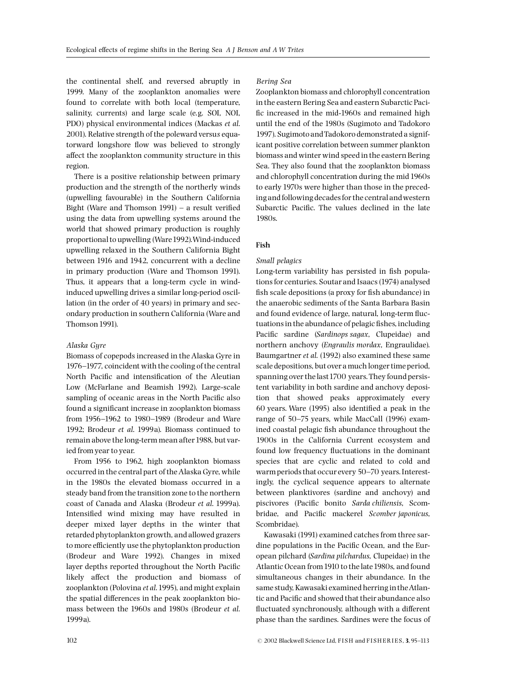the continental shelf, and reversed abruptly in 1999. Many of the zooplankton anomalies were found to correlate with both local (temperature, salinity, currents) and large scale (e.g. SOI, NOI, PDO) physical environmental indices (Mackas et al. 2001). Relative strength of the poleward versus equatorward longshore flow was believed to strongly affect the zooplankton community structure in this region.

There is a positive relationship between primary production and the strength of the northerly winds (upwelling favourable) in the Southern California Bight (Ware and Thomson 1991)  $-$  a result verified using the data from upwelling systems around the world that showed primary production is roughly proportional to upwelling (Ware1992).Wind-induced upwelling relaxed in the Southern California Bight between 1916 and 1942, concurrent with a decline in primary production (Ware and Thomson 1991). Thus, it appears that a long-term cycle in windinduced upwelling drives a similar long-period oscillation (in the order of 40 years) in primary and secondary production in southern California (Ware and Thomson 1991).

## Alaska Gyre

Biomass of copepods increased in the Alaska Gyre in 1976-1977, coincident with the cooling of the central North Pacific and intensification of the Aleutian Low (McFarlane and Beamish 1992). Large-scale sampling of oceanic areas in the North Pacific also found a significant increase in zooplankton biomass from 1956-1962 to 1980-1989 (Brodeur and Ware 1992; Brodeur et al. 1999a). Biomass continued to remain above the long-term mean after 1988, but varied from year to year.

From 1956 to 1962, high zooplankton biomass occurred in the central part of the Alaska Gyre, while in the 1980s the elevated biomass occurred in a steady band from the transition zone to the northern coast of Canada and Alaska (Brodeur et al. 1999a). Intensified wind mixing may have resulted in deeper mixed layer depths in the winter that retarded phytoplankton growth, and allowed grazers to more efficiently use the phytoplankton production (Brodeur and Ware 1992). Changes in mixed layer depths reported throughout the North Pacific likely affect the production and biomass of zooplankton (Polovina et al.1995), and might explain the spatial differences in the peak zooplankton biomass between the 1960s and 1980s (Brodeur et al. 1999a).

#### Bering Sea

Zooplankton biomass and chlorophyll concentration in the eastern Bering Sea and eastern Subarctic Paci fic increased in the mid-1960s and remained high until the end of the 1980s (Sugimoto and Tadokoro 1997). Sugimoto andTadokoro demonstrated a significant positive correlation between summer plankton biomass and winter wind speed in the eastern Bering Sea. They also found that the zooplankton biomass and chlorophyll concentration during the mid 1960s to early 1970s were higher than those in the preceding and following decades for the central andwestern Subarctic Pacific. The values declined in the late 1980s.

## Fish

#### Small pelagics

Long-term variability has persisted in fish populations for centuries. Soutar and Isaacs (1974) analysed fish scale depositions (a proxy for fish abundance) in the anaerobic sediments of the Santa Barbara Basin and found evidence of large, natural, long-term fluctuations in the abundance of pelagic fishes, including Pacific sardine (Sardinops sagax, Clupeidae) and northern anchovy (Engraulis mordax, Engraulidae). Baumgartner et al. (1992) also examined these same scale depositions, but over a much longer time period, spanning over the last1700 years.They found persistent variability in both sardine and anchovy deposition that showed peaks approximately every 60 years. Ware (1995) also identified a peak in the range of 50–75 years, while MacCall (1996) examined coastal pelagic fish abundance throughout the 1900s in the California Current ecosystem and found low frequency fluctuations in the dominant species that are cyclic and related to cold and warm periods that occur every 50-70 years. Interestingly, the cyclical sequence appears to alternate between planktivores (sardine and anchovy) and piscivores (Pacific bonito Sarda chiliensis, Scombridae, and Pacific mackerel Scomber japonicus, Scombridae).

Kawasaki (1991) examined catches from three sardine populations in the Pacific Ocean, and the European pilchard (Sardina pilchardus, Clupeidae) in the Atlantic Ocean from1910 to the late1980s, and found simultaneous changes in their abundance. In the same study, Kawasaki examined herring in theAtlantic and Pacific and showed that their abundance also fluctuated synchronously, although with a different phase than the sardines. Sardines were the focus of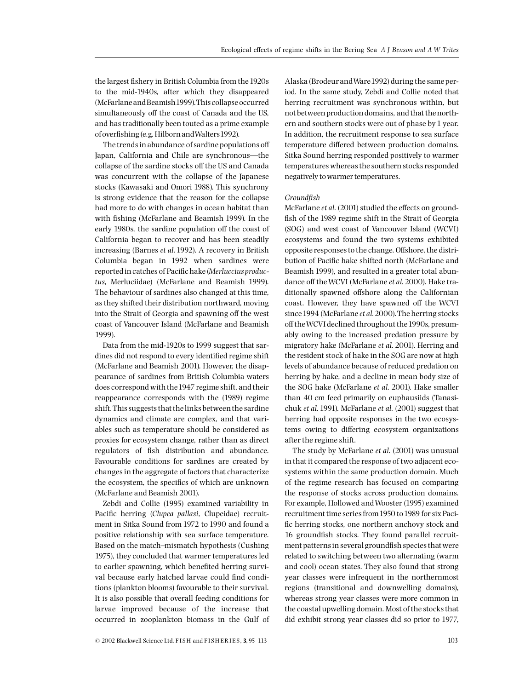the largest fishery in British Columbia from the 1920s to the mid-1940s, after which they disappeared (McFarlaneandBeamish1999).This collapse occurred simultaneously off the coast of Canada and the US, and has traditionally been touted as a prime example of overfishing (e.g. Hilborn and Walters 1992).

The trends in abundance of sardine populations off Japan, California and Chile are synchronous—the collapse of the sardine stocks off the US and Canada was concurrent with the collapse of the Japanese stocks (Kawasaki and Omori 1988). This synchrony is strong evidence that the reason for the collapse had more to do with changes in ocean habitat than with fishing (McFarlane and Beamish 1999). In the early 1980s, the sardine population off the coast of California began to recover and has been steadily increasing (Barnes et al. 1992). A recovery in British Columbia began in 1992 when sardines were reported in catches of Pacific hake (Merluccius productus, Merluciidae) (McFarlane and Beamish 1999). The behaviour of sardines also changed at this time, as they shifted their distribution northward, moving into the Strait of Georgia and spawning off the west coast of Vancouver Island (McFarlane and Beamish 1999).

Data from the mid-1920s to 1999 suggest that sardines did not respond to every identified regime shift (McFarlane and Beamish 2001). However, the disappearance of sardines from British Columbia waters does correspond with the1947 regime shift, and their reappearance corresponds with the (1989) regime shift.This suggests that the links between the sardine dynamics and climate are complex, and that variables such as temperature should be considered as proxies for ecosystem change, rather than as direct regulators of fish distribution and abundance. Favourable conditions for sardines are created by changes in the aggregate of factors that characterize the ecosystem, the specifics of which are unknown (McFarlane and Beamish 2001).

Zebdi and Collie (1995) examined variability in Pacific herring (Clupea pallasi, Clupeidae) recruitment in Sitka Sound from 1972 to 1990 and found a positive relationship with sea surface temperature. Based on the match-mismatch hypothesis (Cushing 1975), they concluded that warmer temperatures led to earlier spawning, which benefited herring survival because early hatched larvae could find conditions (plankton blooms) favourable to their survival. It is also possible that overall feeding conditions for larvae improved because of the increase that occurred in zooplankton biomass in the Gulf of

Alaska (Brodeur andWare1992) during the same period. In the same study, Zebdi and Collie noted that herring recruitment was synchronous within, but not between production domains, and that the northern and southern stocks were out of phase by 1 year. In addition, the recruitment response to sea surface temperature differed between production domains. Sitka Sound herring responded positively to warmer temperatures whereas the southern stocks responded negatively towarmer temperatures.

## Groundfish

McFarlane et al. (2001) studied the effects on groundfish of the 1989 regime shift in the Strait of Georgia (SOG) and west coast of Vancouver Island (WCVI) ecosystems and found the two systems exhibited opposite responses to the change. Offshore, the distribution of Pacific hake shifted north (McFarlane and Beamish 1999), and resulted in a greater total abundance off the WCVI (McFarlane et al. 2000). Hake traditionally spawned offshore along the Californian coast. However, they have spawned off the WCVI since 1994 (McFarlane et al. 2000). The herring stocks off the WCVI declined throughout the 1990s, presumably owing to the increased predation pressure by migratory hake (McFarlane et al. 2001). Herring and the resident stock of hake in the SOG are now at high levels of abundance because of reduced predation on herring by hake, and a decline in mean body size of the SOG hake (McFarlane et al. 2001). Hake smaller than 40 cm feed primarily on euphausiids (Tanasichuk et al. 1991). McFarlane et al. (2001) suggest that herring had opposite responses in the two ecosystems owing to differing ecosystem organizations after the regime shift.

The study by McFarlane et al. (2001) was unusual in that it compared the response of two adjacent ecosystems within the same production domain. Much of the regime research has focused on comparing the response of stocks across production domains. For example, Hollowed andWooster (1995) examined recruitment time series from1950 to1989 for six Paci fic herring stocks, one northern anchovy stock and 16 groundfish stocks. They found parallel recruitment patterns in several groundfish species that were related to switching between two alternating (warm and cool) ocean states. They also found that strong year classes were infrequent in the northernmost regions (transitional and downwelling domains), whereas strong year classes were more common in the coastal upwelling domain. Most of the stocks that did exhibit strong year classes did so prior to 1977,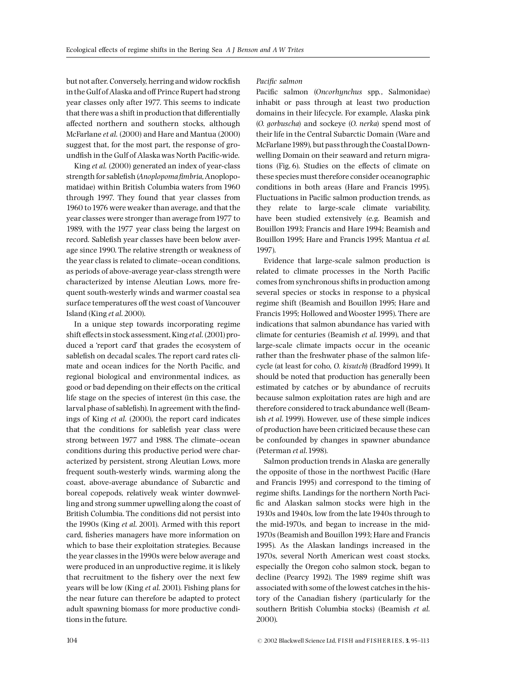but not after. Conversely, herring and widow rockfish in the Gulf of Alaska and off Prince Rupert had strong year classes only after 1977. This seems to indicate that there was a shift in production that differentially affected northern and southern stocks, although McFarlane et al. (2000) and Hare and Mantua (2000) suggest that, for the most part, the response of groundfish in the Gulf of Alaska was North Pacific-wide.

King et al. (2000) generated an index of year-class strength for sablefish (Anoplopoma fimbria, Anoplopomatidae) within British Columbia waters from 1960 through 1997. They found that year classes from 1960 to1976 were weaker than average, and that the year classes were stronger than average from1977 to 1989, with the 1977 year class being the largest on record. Sablefish year classes have been below average since 1990. The relative strength or weakness of the year class is related to climate-ocean conditions, as periods of above-average year-class strength were characterized by intense Aleutian Lows, more frequent south-westerly winds and warmer coastal sea surface temperatures off the west coast of Vancouver Island (King et al. 2000).

In a unique step towards incorporating regime shift effects in stock assessment, King et al.  $(2001)$  produced a 'report card' that grades the ecosystem of sablefish on decadal scales. The report card rates climate and ocean indices for the North Pacific, and regional biological and environmental indices, as good or bad depending on their effects on the critical life stage on the species of interest (in this case, the larval phase of sablefish). In agreement with the findings of King et al. (2000), the report card indicates that the conditions for sablefish year class were strong between 1977 and 1988. The climate-ocean conditions during this productive period were characterized by persistent, strong Aleutian Lows, more frequent south-westerly winds, warming along the coast, above-average abundance of Subarctic and boreal copepods, relatively weak winter downwelling and strong summer upwelling along the coast of British Columbia. The conditions did not persist into the 1990s (King et al. 2001). Armed with this report card, fisheries managers have more information on which to base their exploitation strategies. Because the year classes in the 1990s were below average and were produced in an unproductive regime, it is likely that recruitment to the fishery over the next few years will be low (King et al. 2001). Fishing plans for the near future can therefore be adapted to protect adult spawning biomass for more productive conditions in the future.

Pacific salmon

Pacific salmon (Oncorhynchus spp., Salmonidae) inhabit or pass through at least two production domains in their lifecycle. For example, Alaska pink (O. gorbuscha) and sockeye (O. nerka) spend most of their life in the Central Subarctic Domain (Ware and McFarlane1989), but pass through the CoastalDownwelling Domain on their seaward and return migrations (Fig.  $6$ ). Studies on the effects of climate on these species must therefore consider oceanographic conditions in both areas (Hare and Francis 1995). Fluctuations in Pacific salmon production trends, as they relate to large-scale climate variability, have been studied extensively (e.g. Beamish and Bouillon 1993; Francis and Hare 1994; Beamish and Bouillon 1995; Hare and Francis 1995; Mantua et al. 1997).

Evidence that large-scale salmon production is related to climate processes in the North Pacific comes from synchronous shifts in production among several species or stocks in response to a physical regime shift (Beamish and Bouillon 1995; Hare and Francis 1995; Hollowed andWooster 1995). There are indications that salmon abundance has varied with climate for centuries (Beamish et al. 1999), and that large-scale climate impacts occur in the oceanic rather than the freshwater phase of the salmon lifecycle (at least for coho, O. kisutch) (Bradford 1999). It should be noted that production has generally been estimated by catches or by abundance of recruits because salmon exploitation rates are high and are therefore considered to track abundance well (Beamish et al. 1999). However, use of these simple indices of production have been criticized because these can be confounded by changes in spawner abundance (Peterman et al.1998).

Salmon production trends in Alaska are generally the opposite of those in the northwest Pacific (Hare and Francis 1995) and correspond to the timing of regime shifts. Landings for the northern North Paci fic and Alaskan salmon stocks were high in the 1930s and 1940s, low from the late 1940s through to the mid-1970s, and began to increase in the mid-1970s (Beamish and Bouillon 1993; Hare and Francis 1995). As the Alaskan landings increased in the 1970s, several North American west coast stocks, especially the Oregon coho salmon stock, began to decline (Pearcy 1992). The 1989 regime shift was associated with some of the lowest catches in the history of the Canadian fishery (particularly for the southern British Columbia stocks) (Beamish et al. 2000).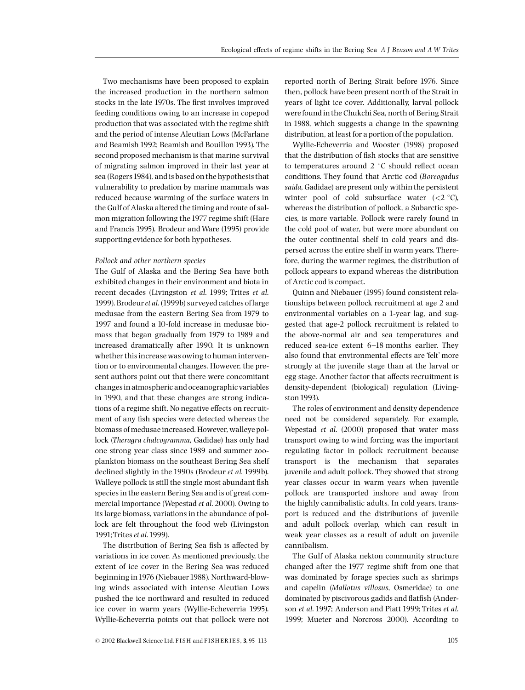Two mechanisms have been proposed to explain the increased production in the northern salmon stocks in the late 1970s. The first involves improved feeding conditions owing to an increase in copepod production that was associated with the regime shift and the period of intense Aleutian Lows (McFarlane and Beamish 1992; Beamish and Bouillon 1993). The second proposed mechanism is that marine survival of migrating salmon improved in their last year at sea (Rogers1984), and is based on the hypothesis that vulnerability to predation by marine mammals was reduced because warming of the surface waters in the Gulf of Alaska altered the timing and route of salmon migration following the1977 regime shift (Hare and Francis 1995). Brodeur and Ware (1995) provide supporting evidence for both hypotheses.

## Pollock and other northern species

The Gulf of Alaska and the Bering Sea have both exhibited changes in their environment and biota in recent decades (Livingston et al. 1999; Trites et al. 1999). Brodeuret al. (1999b) surveyed catches of large medusae from the eastern Bering Sea from 1979 to 1997 and found a 10-fold increase in medusae biomass that began gradually from 1979 to 1989 and increased dramatically after 1990. It is unknown whether this increase was owing to human intervention or to environmental changes. However, the present authors point out that there were concomitant changes in atmospheric and oceanographic variables in 1990, and that these changes are strong indications of a regime shift. No negative effects on recruitment of any fish species were detected whereas the biomass of medusae increased. However, walleye pollock (Theragra chalcogramma, Gadidae) has only had one strong year class since 1989 and summer zooplankton biomass on the southeast Bering Sea shelf declined slightly in the 1990s (Brodeur et al. 1999b). Walleye pollock is still the single most abundant fish species in the eastern Bering Sea and is of great commercial importance (Wepestad et al. 2000). Owing to its large biomass, variations in the abundance of pollock are felt throughout the food web (Livingston 1991;Trites et al.1999).

The distribution of Bering Sea fish is affected by variations in ice cover. As mentioned previously, the extent of ice cover in the Bering Sea was reduced beginning in 1976 (Niebauer 1988). Northward-blowing winds associated with intense Aleutian Lows pushed the ice northward and resulted in reduced ice cover in warm years (Wyllie-Echeverria 1995). Wyllie-Echeverria points out that pollock were not

reported north of Bering Strait before 1976. Since then, pollock have been present north of the Strait in years of light ice cover. Additionally, larval pollock were found in the Chukchi Sea, north of Bering Strait in 1988, which suggests a change in the spawning distribution, at least for a portion of the population.

Wyllie-Echeverria and Wooster (1998) proposed that the distribution of fish stocks that are sensitive to temperatures around  $2 °C$  should reflect ocean conditions. They found that Arctic cod (Boreogadus saida, Gadidae) are present only within the persistent winter pool of cold subsurface water  $(<2$  °C), whereas the distribution of pollock, a Subarctic species, is more variable. Pollock were rarely found in the cold pool of water, but were more abundant on the outer continental shelf in cold years and dispersed across the entire shelf in warm years. Therefore, during the warmer regimes, the distribution of pollock appears to expand whereas the distribution of Arctic cod is compact.

Quinn and Niebauer (1995) found consistent relationships between pollock recruitment at age 2 and environmental variables on a 1-year lag, and suggested that age-2 pollock recruitment is related to the above-normal air and sea temperatures and reduced sea-ice extent 6^18 months earlier. They also found that environmental effects are 'felt' more strongly at the juvenile stage than at the larval or egg stage. Another factor that affects recruitment is density-dependent (biological) regulation (Livingston1993).

The roles of environment and density dependence need not be considered separately. For example, Wepestad et al. (2000) proposed that water mass transport owing to wind forcing was the important regulating factor in pollock recruitment because transport is the mechanism that separates juvenile and adult pollock. They showed that strong year classes occur in warm years when juvenile pollock are transported inshore and away from the highly cannibalistic adults. In cold years, transport is reduced and the distributions of juvenile and adult pollock overlap, which can result in weak year classes as a result of adult on juvenile cannibalism.

The Gulf of Alaska nekton community structure changed after the 1977 regime shift from one that was dominated by forage species such as shrimps and capelin (Mallotus villosus, Osmeridae) to one dominated by piscivorous gadids and flatfish (Anderson et al. 1997; Anderson and Piatt 1999; Trites et al. 1999; Mueter and Norcross 2000). According to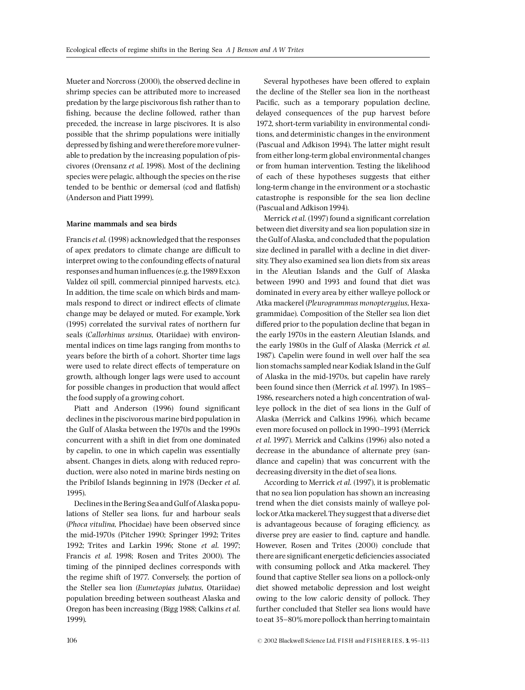Mueter and Norcross (2000), the observed decline in shrimp species can be attributed more to increased predation by the large piscivorous fish rather than to fishing, because the decline followed, rather than preceded, the increase in large piscivores. It is also possible that the shrimp populations were initially depressed by fishing and were therefore more vulnerable to predation by the increasing population of piscivores (Orensanz et al. 1998). Most of the declining species were pelagic, although the species on the rise tended to be benthic or demersal (cod and flatfish) (Anderson and Piatt 1999).

## Marine mammals and sea birds

Francis et al. (1998) acknowledged that the responses of apex predators to climate change are difficult to interpret owing to the confounding effects of natural responses and human influences (e.g. the 1989 Exxon Valdez oil spill, commercial pinniped harvests, etc.). In addition, the time scale on which birds and mammals respond to direct or indirect effects of climate change may be delayed or muted. For example, York (1995) correlated the survival rates of northern fur seals (Callorhinus ursinus, Otariidae) with environmental indices on time lags ranging from months to years before the birth of a cohort. Shorter time lags were used to relate direct effects of temperature on growth, although longer lags were used to account for possible changes in production that would affect the food supply of a growing cohort.

Piatt and Anderson (1996) found significant declines in the piscivorous marine bird population in the Gulf of Alaska between the 1970s and the 1990s concurrent with a shift in diet from one dominated by capelin, to one in which capelin was essentially absent. Changes in diets, along with reduced reproduction, were also noted in marine birds nesting on the Pribilof Islands beginning in 1978 (Decker et al. 1995).

Declines in the Bering Sea and Gulf of Alaska populations of Steller sea lions, fur and harbour seals (Phoca vitulina, Phocidae) have been observed since the mid-1970s (Pitcher 1990; Springer 1992; Trites 1992; Trites and Larkin 1996; Stone et al. 1997; Francis et al. 1998; Rosen and Trites 2000). The timing of the pinniped declines corresponds with the regime shift of 1977. Conversely, the portion of the Steller sea lion (Eumetopias jubatus, Otariidae) population breeding between southeast Alaska and Oregon has been increasing (Bigg 1988; Calkins et al. 1999).

Several hypotheses have been offered to explain the decline of the Steller sea lion in the northeast Pacific, such as a temporary population decline, delayed consequences of the pup harvest before 1972, short-term variability in environmental conditions, and deterministic changes in the environment (Pascual and Adkison 1994). The latter might result from either long-term global environmental changes or from human intervention. Testing the likelihood of each of these hypotheses suggests that either long-term change in the environment or a stochastic catastrophe is responsible for the sea lion decline (Pascual and Adkison 1994).

Merrick et al. (1997) found a significant correlation between diet diversity and sea lion population size in the Gulf of Alaska, and concluded that the population size declined in parallel with a decline in diet diversity. They also examined sea lion diets from six areas in the Aleutian Islands and the Gulf of Alaska between 1990 and 1993 and found that diet was dominated in every area by either walleye pollock or Atka mackerel (Pleurogrammus monopterygius, Hexagrammidae). Composition of the Steller sea lion diet differed prior to the population decline that began in the early 1970s in the eastern Aleutian Islands, and the early 1980s in the Gulf of Alaska (Merrick et al. 1987). Capelin were found in well over half the sea lion stomachs sampled near Kodiak Island in the Gulf of Alaska in the mid-1970s, but capelin have rarely been found since then (Merrick et al. 1997). In 1985-1986, researchers noted a high concentration of walleye pollock in the diet of sea lions in the Gulf of Alaska (Merrick and Calkins 1996), which became even more focused on pollock in1990^1993 (Merrick et al. 1997). Merrick and Calkins (1996) also noted a decrease in the abundance of alternate prey (sandlance and capelin) that was concurrent with the decreasing diversity in the diet of sea lions.

According to Merrick et al. (1997), it is problematic that no sea lion population has shown an increasing trend when the diet consists mainly of walleye pollock orAtka mackerel.They suggest that a diverse diet is advantageous because of foraging efficiency, as diverse prey are easier to find, capture and handle. However, Rosen and Trites (2000) conclude that there are significant energetic deficiencies associated with consuming pollock and Atka mackerel. They found that captive Steller sea lions on a pollock-only diet showed metabolic depression and lost weight owing to the low caloric density of pollock. They further concluded that Steller sea lions would have to eat 35-80% more pollock than herring to maintain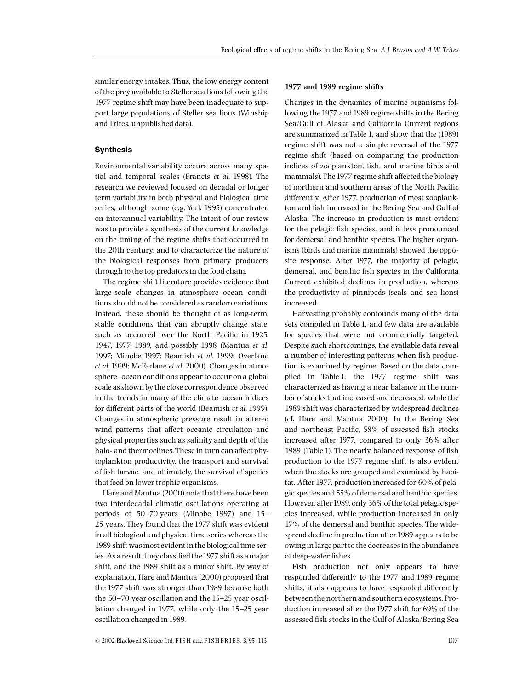similar energy intakes. Thus, the low energy content of the prey available to Steller sea lions following the 1977 regime shift may have been inadequate to support large populations of Steller sea lions (Winship and Trites, unpublished data).

# Synthesis

Environmental variability occurs across many spatial and temporal scales (Francis et al. 1998). The research we reviewed focused on decadal or longer term variability in both physical and biological time series, although some (e.g. York 1995) concentrated on interannual variability. The intent of our review was to provide a synthesis of the current knowledge on the timing of the regime shifts that occurred in the 20th century, and to characterize the nature of the biological responses from primary producers through to the top predators in the food chain.

The regime shift literature provides evidence that large-scale changes in atmosphere^ocean conditions should not be considered as random variations. Instead, these should be thought of as long-term, stable conditions that can abruptly change state, such as occurred over the North Pacific in 1925, 1947, 1977, 1989, and possibly 1998 (Mantua et al. 1997; Minobe 1997; Beamish et al. 1999; Overland et al. 1999; McFarlane et al. 2000). Changes in atmosphere-ocean conditions appear to occur on a global scale as shown by the close correspondence observed in the trends in many of the climate–ocean indices for different parts of the world (Beamish et al. 1999). Changes in atmospheric pressure result in altered wind patterns that affect oceanic circulation and physical properties such as salinity and depth of the halo- and thermoclines. These in turn can affect phytoplankton productivity, the transport and survival of fish larvae, and ultimately, the survival of species that feed on lower trophic organisms.

Hare and Mantua (2000) note that there have been two interdecadal climatic oscillations operating at periods of  $50-70$  years (Minobe 1997) and 15 $-$ 25 years. They found that the 1977 shift was evident in all biological and physical time series whereas the 1989 shift was most evident in the biological time series. As a result, they classified the 1977 shift as a major shift, and the 1989 shift as a minor shift. By way of explanation, Hare and Mantua (2000) proposed that the 1977 shift was stronger than 1989 because both the  $50-70$  year oscillation and the  $15-25$  year oscillation changed in 1977, while only the 15^25 year oscillation changed in1989.

#### 1977 and 1989 regime shifts

Changes in the dynamics of marine organisms following the 1977 and 1989 regime shifts in the Bering Sea/Gulf of Alaska and California Current regions are summarized in Table 1, and show that the (1989) regime shift was not a simple reversal of the 1977 regime shift (based on comparing the production indices of zooplankton, fish, and marine birds and mammals). The 1977 regime shift affected the biology of northern and southern areas of the North Pacific differently. After 1977, production of most zooplankton and fish increased in the Bering Sea and Gulf of Alaska. The increase in production is most evident for the pelagic fish species, and is less pronounced for demersal and benthic species. The higher organisms (birds and marine mammals) showed the opposite response. After 1977, the majority of pelagic, demersal, and benthic fish species in the California Current exhibited declines in production, whereas the productivity of pinnipeds (seals and sea lions) increased.

Harvesting probably confounds many of the data sets compiled in Table 1, and few data are available for species that were not commercially targeted. Despite such shortcomings, the available data reveal a number of interesting patterns when fish production is examined by regime. Based on the data compiled in Table 1, the 1977 regime shift was characterized as having a near balance in the number of stocks that increased and decreased, while the 1989 shift was characterized by widespread declines (cf. Hare and Mantua 2000). In the Bering Sea and northeast Pacific, 58% of assessed fish stocks increased after 1977, compared to only 36% after 1989 (Table 1). The nearly balanced response of fish production to the 1977 regime shift is also evident when the stocks are grouped and examined by habitat. After 1977, production increased for 60% of pelagic species and 55% of demersal and benthic species. However, after1989, only 36% of the total pelagic species increased, while production increased in only 17% of the demersal and benthic species. The widespread decline in production after 1989 appears to be owing in large part to the decreases in the abundance of deep-water fishes.

Fish production not only appears to have responded differently to the 1977 and 1989 regime shifts, it also appears to have responded differently between the northern and southern ecosystems. Production increased after the 1977 shift for 69% of the assessed fish stocks in the Gulf of Alaska/Bering Sea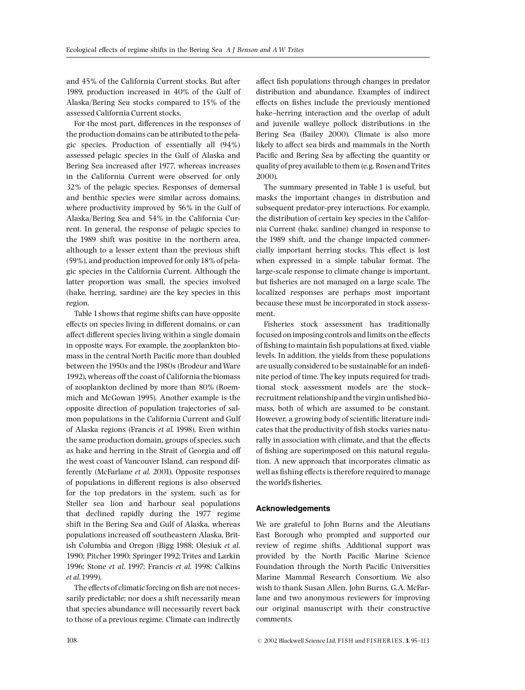and 45% of the California Current stocks. But after 1989, production increased in 40% of the Gulf of Alaska/Bering Sea stocks compared to 15% of the assessed California Current stocks.

For the most part, differences in the responses of the production domains can be attributed to the pelagic species. Production of essentially all (94%) assessed pelagic species in the Gulf of Alaska and Bering Sea increased after 1977, whereas increases in the California Current were observed for only 32% of the pelagic species. Responses of demersal and benthic species were similar across domains, where productivity improved by 56% in the Gulf of Alaska/Bering Sea and 54% in the California Current. In general, the response of pelagic species to the 1989 shift was positive in the northern area, although to a lesser extent than the previous shift (59%), and production improved for only18% of pelagic species in the California Current. Although the latter proportion was small, the species involved (hake, herring, sardine) are the key species in this region.

Table 1 shows that regime shifts can have opposite effects on species living in different domains, or can affect different species living within a single domain in opposite ways. For example, the zooplankton biomass in the central North Pacific more than doubled between the 1950s and the 1980s (Brodeur andWare 1992), whereas off the coast of California the biomass of zooplankton declined by more than 80% (Roemmich and McGowan 1995). Another example is the opposite direction of population trajectories of salmon populations in the California Current and Gulf of Alaska regions (Francis et al. 1998). Even within the same production domain, groups of species, such as hake and herring in the Strait of Georgia and off the west coast of Vancouver Island, can respond differently (McFarlane et al. 2001). Opposite responses of populations in different regions is also observed for the top predators in the system, such as for Steller sea lion and harbour seal populations that declined rapidly during the 1977 regime shift in the Bering Sea and Gulf of Alaska, whereas populations increased off southeastern Alaska, British Columbia and Oregon (Bigg 1988; Olesiuk et al. 1990; Pitcher 1990; Springer 1992; Trites and Larkin 1996; Stone et al. 1997; Francis et al. 1998; Calkins et al.1999).

The effects of climatic forcing on fish are not necessarily predictable; nor does a shift necessarily mean that species abundance will necessarily revert back to those of a previous regime. Climate can indirectly affect fish populations through changes in predator distribution and abundance. Examples of indirect effects on fishes include the previously mentioned hake-herring interaction and the overlap of adult and juvenile walleye pollock distributions in the Bering Sea (Bailey 2000). Climate is also more likely to affect sea birds and mammals in the North Pacific and Bering Sea by affecting the quantity or quality of preyavailable to them (e.g. Rosen andTrites 2000).

The summary presented in Table 1 is useful, but masks the important changes in distribution and subsequent predator-prey interactions. For example, the distribution of certain key species in the California Current (hake, sardine) changed in response to the 1989 shift, and the change impacted commercially important herring stocks. This effect is lost when expressed in a simple tabular format. The large-scale response to climate change is important, but fisheries are not managed on a large scale. The localized responses are perhaps most important because these must be incorporated in stock assessment.

Fisheries stock assessment has traditionally focused on imposing controls and limits on the effects of fishing to maintain fish populations at fixed, viable levels. In addition, the yields from these populations are usually considered to be sustainable for an indefinite period of time. The key inputs required for traditional stock assessment models are the stock^ recruitment relationship and the virgin unfished biomass, both of which are assumed to be constant. However, a growing body of scientific literature indicates that the productivity of fish stocks varies naturally in association with climate, and that the effects of fishing are superimposed on this natural regulation. A new approach that incorporates climatic as well as fishing effects is therefore required to manage the world's fisheries.

## Acknowledgements

We are grateful to John Burns and the Aleutians East Borough who prompted and supported our review of regime shifts. Additional support was provided by the North Pacific Marine Science Foundation through the North Pacific Universities Marine Mammal Research Consortium. We also wish to thank Susan Allen, John Burns, G.A. McFarlane and two anonymous reviewers for improving our original manuscript with their constructive comments.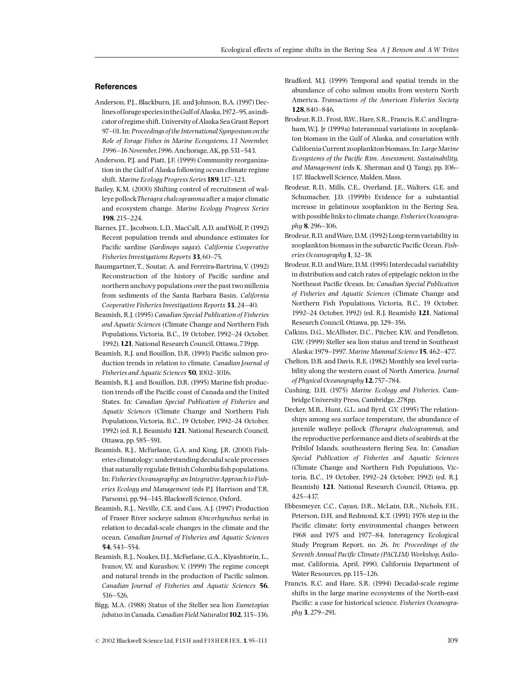## **References**

- Anderson, P.J., Blackburn, J.E. and Johnson, B.A. (1997) Declines of forage species in the Gulf of Alaska, 1972-95, as indicator of regime shift. University of Alaska Sea Grant Report 97-01. In: Proceedings of the International Symposium on the Role of Forage Fishes in Marine Ecosystems, 13 November, 1996-16 November, 1996. Anchorage, AK, pp. 531-543.
- Anderson, P.J. and Piatt, J.F. (1999) Community reorganization in the Gulf of Alaska following ocean climate regime shift. Marine Ecology Progress Series 189, 117-123.
- Bailey, K.M. (2000) Shifting control of recruitment of walleye pollockTheragra chalcogramma after a major climatic and ecosystem change. Marine Ecology Progress Series 198, 215^224.
- Barnes, J.T., Jacobson, L.D., MacCall, A.D. and Wolf, P. (1992) Recent population trends and abundance estimates for Pacific sardine (Sardinops sagax). California Cooperative Fisheries Investigations Reports 33, 60-75.
- Baumgartner, T., Soutar, A. and Ferreira-Bartrina, V. (1992) Reconstruction of the history of Pacific sardine and northern anchovy populations over the past two millenia from sediments of the Santa Barbara Basin. California Cooperative Fisheries Investigations Reports 33, 24-40.
- Beamish, R.J. (1995) Canadian Special Publication of Fisheries and Aquatic Sciences (Climate Change and Northern Fish Populations, Victoria, B.C., 19 October, 1992^24 October, 1992).121, National Research Council, Ottawa,739pp.
- Beamish, R.J. and Bouillon, D.R. (1993) Pacific salmon production trends in relation to climate. Canadian Journal of Fisheries and Aquatic Sciences 50, 1002-1016.
- Beamish, R.J. and Bouillon, D.R. (1995) Marine fish production trends off the Pacific coast of Canada and the United States. In: Canadian Special Publication of Fisheries and Aquatic Sciences (Climate Change and Northern Fish Populations, Victoria, B.C., 19 October, 1992-24 October, 1992) (ed. R.J. Beamish) 121, National Research Council, Ottawa, pp.585^591.
- Beamish, R.J., McFarlane, G.A. and King, J.R. (2000) Fisheries climatology: understanding decadal scale processes that naturally regulate British Columbia fish populations. In: Fisheries Oceanography: an IntegrativeApproach to Fisheries Ecology and Management (eds P.J. Harrison and T.R. Parsons), pp. 94-145. Blackwell Science, Oxford.
- Beamish, R.J., Neville, C.E. and Cass, A.J. (1997) Production of Fraser River sockeye salmon (Oncorhynchus nerka) in relation to decadal-scale changes in the climate and the ocean. Canadian Journal of Fisheries and Aquatic Sciences 54,543^554.
- Beamish, R.J., Noakes, D.J., McFarlane, G.A., Klyashtorin, L., Ivanov, V.V. and Kurashov, V. (1999) The regime concept and natural trends in the production of Pacific salmon. Canadian Journal of Fisheries and Aquatic Sciences 56, 516^526.
- Bigg, M.A. (1988) Status of the Steller sea lion Eumetopias jubatus in Canada. Canadian Field Naturalist 102, 315-336.
- Bradford, M.J. (1999) Temporal and spatial trends in the abundance of coho salmon smolts from western North America. Transactions of the American Fisheries Society 128,840-846.
- Brodeur, R.D., Frost, B.W., Hare, S.R., Francis, R.C. and Ingraham,W.J. Jr (1999a) Interannual variations in zooplankton biomass in the Gulf of Alaska, and covariation with California Current zooplankton biomass. In: Large Marine Ecosystems of the Pacific Rim. Assessment, Sustainability, and Management (eds K. Sherman and Q. Tang), pp. 106^ 137. Blackwell Science, Malden, Mass.
- Brodeur, R.D., Mills, C.E., Overland, J.E., Walters, G.E. and Schumacher, J.D. (1999b) Evidence for a substantial increase in gelatinous zooplankton in the Bering Sea, with possible links to climate change. Fisheries Oceanography 8, 296-306.
- Brodeur, R.D. andWare, D.M. (1992) Long-term variability in zooplankton biomass in the subarctic Pacific Ocean. Fisheries Oceanography 1, 32-38.
- Brodeur, R.D. andWare, D.M. (1995) Interdecadal variability in distribution and catch rates of epipelagic nekton in the Northeast Pacific Ocean. In: Canadian Special Publication of Fisheries and Aquatic Sciences (Climate Change and Northern Fish Populations, Victoria, B.C., 19 October, 1992-24 October, 1992) (ed. R.J. Beamish) 121, National Research Council, Ottawa, pp.329^356.
- Calkins, D.G., McAllister, D.C., Pitcher, K.W. and Pendleton, G.W. (1999) Steller sea lion status and trend in Southeast Alaska: 1979-1997. Marine Mammal Science 15, 462-477.
- Chelton, D.B. and Davis, R.E. (1982) Monthly sea level variability along the western coast of North America. Journal of Physical Oceanography 12,757-784.
- Cushing, D.H. (1975) Marine Ecology and Fisheries. Cambridge University Press, Cambridge, 278pp.
- Decker, M.B., Hunt, G.L. and Byrd, G.V. (1995) The relationships among sea surface temperature, the abundance of juvenile walleye pollock (Theragra chalcogramma), and the reproductive performance and diets of seabirds at the Pribilof Islands, southeastern Bering Sea. In: Canadian Special Publication of Fisheries and Aquatic Sciences (Climate Change and Northern Fish Populations, Victoria, B.C., 19 October, 1992^24 October, 1992) (ed. R.J. Beamish) 121, National Research Council, Ottawa, pp. 425^437.
- Ebbesmeyer, C.C., Cayan, D.R., McLain, D.R., Nichols, F.H., Peterson, D.H. and Redmond, K.T. (1991) 1976 step in the Pacific climate: forty environmental changes between 1968 and 1975 and 1977-84. Interagency Ecological Study Program Report, no. 26. In: Proceedings of the Seventh Annual Pacific Climate (PACLIM) Workshop, Asilomar, California, April, 1990, California Department of Water Resources, pp. 115-126.
- Francis, R.C. and Hare, S.R. (1994) Decadal-scale regime shifts in the large marine ecosystems of the North-east Pacific: a case for historical science. Fisheries Oceanography 3, 279-291.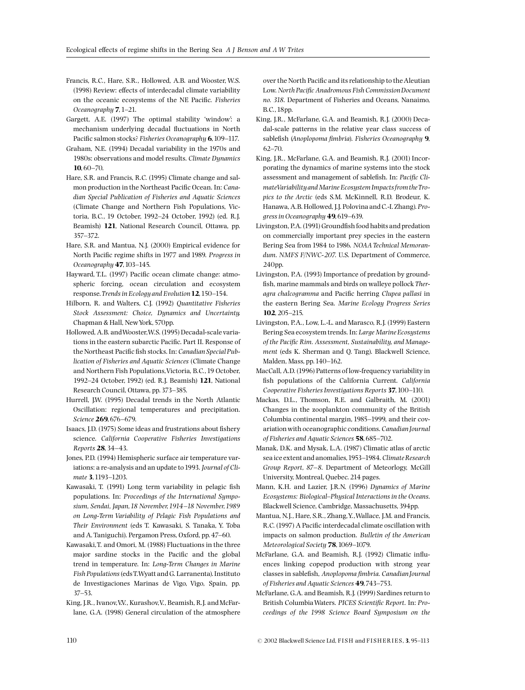- Francis, R.C., Hare, S.R., Hollowed, A.B. and Wooster, W.S. (1998) Review: effects of interdecadal climate variability on the oceanic ecosystems of the NE Pacific. Fisheries Oceanography 7, 1-21.
- Gargett, A.E. (1997) The optimal stability 'window': a mechanism underlying decadal fluctuations in North Pacific salmon stocks? Fisheries Oceanography 6, 109-117.
- Graham, N.E. (1994) Decadal variability in the 1970s and 1980s: observations and model results. Climate Dynamics  $10.60 - 70.$
- Hare, S.R. and Francis, R.C. (1995) Climate change and salmon production in the Northeast Pacific Ocean. In: Canadian Special Publication of Fisheries and Aquatic Sciences (Climate Change and Northern Fish Populations, Victoria, B.C., 19 October, 1992^24 October, 1992) (ed. R.J. Beamish) 121, National Research Council, Ottawa, pp. 357^372.
- Hare, S.R. and Mantua, N.J. (2000) Empirical evidence for North Pacific regime shifts in 1977 and 1989. Progress in Oceanography 47, 103-145.
- Hayward, T.L. (1997) Pacific ocean climate change: atmospheric forcing, ocean circulation and ecosystem response. Trends in Ecology and Evolution 12, 150-154.
- Hilborn, R. and Walters, C.J. (1992) Quantitative Fisheries Stock Assessment: Choice, Dynamics and Uncertainty. Chapman & Hall, NewYork,570pp.
- Hollowed, A.B. andWooster,W.S. (1995) Decadal-scale variations in the eastern subarctic Pacific. Part II. Response of the Northeast Pacific fish stocks. In: Canadian Special Publication of Fisheries and Aquatic Sciences (Climate Change and Northern Fish Populations,Victoria, B.C.,19 October, 1992-24 October, 1992) (ed. R.J. Beamish) 121, National Research Council, Ottawa, pp.373^385.
- Hurrell, J.W. (1995) Decadal trends in the North Atlantic Oscillation: regional temperatures and precipitation. Science 269, 676-679.
- Isaacs, J.D. (1975) Some ideas and frustrations about fishery science. California Cooperative Fisheries Investigations Reports 28,34^43.
- Jones, P.D. (1994) Hemispheric surface air temperature variations: a re-analysis and an update to 1993. Journal of Climate 3, 1193-1203.
- Kawasaki, T. (1991) Long term variability in pelagic fish populations. In: Proceedings of the International Symposium, Sendai, Japan, 18 November, 1914-18 November, 1989 on Long-Term Variability of Pelagic Fish Populations and Their Environment (eds T. Kawasaki, S. Tanaka, Y. Toba and A. Taniguchi). Pergamon Press, Oxford, pp. 47^60.
- Kawasaki,T. and Omori, M. (1988) Fluctuations in the three major sardine stocks in the Pacific and the global trend in temperature. In: Long-Term Changes in Marine Fish Populations(edsT.Wyatt and G. Larranenta). Instituto de Investigaciones Marinas de Vigo, Vigo, Spain, pp. 37^53.
- King, J.R., Ivanov, V.V., Kurashov, V., Beamish, R.J. and McFarlane, G.A. (1998) General circulation of the atmosphere

over the North Pacific and its relationship to the Aleutian Low. North Pacific Anadromous Fish Commission Document no. 318. Department of Fisheries and Oceans, Nanaimo, B.C.,18pp.

- King, J.R., McFarlane, G.A. and Beamish, R.J. (2000) Decadal-scale patterns in the relative year class success of sablefish (Anoplopoma fimbria). Fisheries Oceanography 9,  $62 - 70.$
- King, J.R., McFarlane, G.A. and Beamish, R.J. (2001) Incorporating the dynamics of marine systems into the stock assessment and management of sablefish. In: Pacific ClimateVariabilityandMarine Ecosystem Impactsfrom theTropics to the Arctic (eds S.M. McKinnell, R.D. Brodeur, K. Hanawa, A.B. Hollowed, J.J. Polovina and C.-I. Zhang).Progress in Oceanography 49, 619-639.
- Livingston, P.A. (1991) Groundfish food habits and predation on commercially important prey species in the eastern Bering Sea from 1984 to 1986. NOAA Technical Memorandum. NMFS F/NWC-207. U.S. Department of Commerce, 240pp.
- Livingston, P.A. (1993) Importance of predation by ground fish, marine mammals and birds on walleye pollock Theragra chalcogramma and Pacific herring Clupea pallasi in the eastern Bering Sea. Marine Ecology Progress Series 102, 205-215.
- Livingston, P.A., Low, L.-L. and Marasco, R.J. (1999) Eastern Bering Sea ecosystem trends. In: Large Marine Ecosystems of the Pacific Rim. Assessment, Sustainability, and Management (eds K. Sherman and Q. Tang). Blackwell Science, Malden, Mass, pp.140^162.
- MacCall, A.D. (1996) Patterns of low-frequency variability in fish populations of the California Current. California Cooperative Fisheries Investigations Reports 37, 100-110.
- Mackas, D.L., Thomson, R.E. and Galbraith, M. (2001) Changes in the zooplankton community of the British Columbia continental margin, 1985^1999, and their covariation with oceanographic conditions. Canadian Journal of Fisheries and Aquatic Sciences 58,685-702.
- Manak, D.K. and Mysak, L.A. (1987) Climatic atlas of arctic sea ice extent and anomalies, 1953-1984. Climate Research Group Report, 87^8. Department of Meteorlogy, McGill University, Montreal, Quebec. 214 pages.
- Mann, K.H. and Lazier, J.R.N. (1996) Dynamics of Marine Ecosystems: Biological^Physical Interactions in the Oceans. Blackwell Science, Cambridge, Massachusetts,394pp.
- Mantua, N.J., Hare, S.R., Zhang,Y.,Wallace, J.M. and Francis, R.C. (1997) A Pacific interdecadal climate oscillation with impacts on salmon production. Bulletin of the American Meteorological Society 78, 1069-1079.
- McFarlane, G.A. and Beamish, R.J. (1992) Climatic influences linking copepod production with strong year classes in sablefish, Anoplopoma fimbria. Canadian Journal of Fisheries and Aquatic Sciences 49,743^753.
- McFarlane, G.A. and Beamish, R.J. (1999) Sardines return to British Columbia Waters. PICES Scientific Report. In: Proceedings of the 1998 Science Board Symposium on the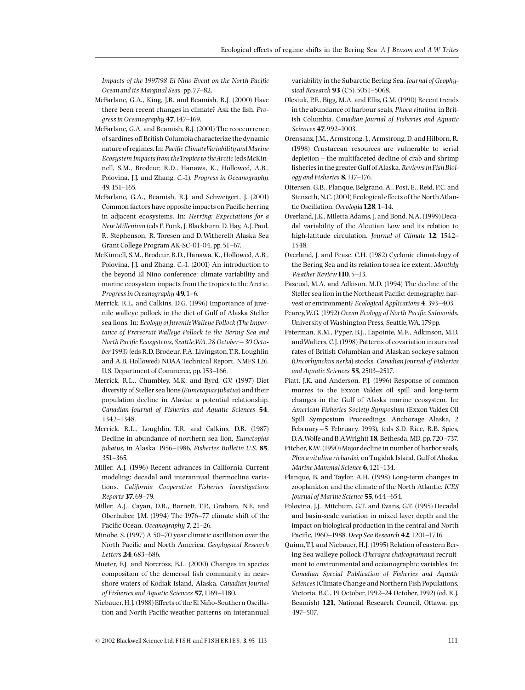Impacts of the 1997/98 El Niño Event on the North Pacific Ocean and its Marginal Seas. pp. 77-82.

- McFarlane, G.A., King, J.R. and Beamish, R.J. (2000) Have there been recent changes in climate? Ask the fish. Progress in Oceanography 47, 147-169.
- McFarlane, G.A. and Beamish, R.J. (2001) The reoccurrence of sardines off British Columbia characterize the dynamic nature of regimes. In: Pacific ClimateVariability and Marine Ecosystem Impacts from the Tropics to the Arctic (eds McKinnell, S.M., Brodeur, R.D., Hanawa, K., Hollowed, A.B., Polovina, J.J. and Zhang, C.-I.). Progress in Oceanography. 49,151^165.
- McFarlane, G.A., Beamish, R.J. and Schweigert, J. (2001) Common factors have opposite impacts on Pacific herring in adjacent ecosystems. In: Herring: Expectations for a New Millenium (eds F. Funk, J. Blackburn, D. Hay, A.J. Paul, R. Stephenson, R. Toresen and D. Witherell) Alaska Sea Grant College Program AK-SC-01-04, pp.51^67.
- McKinnell, S.M., Brodeur, R.D., Hanawa, K., Hollowed, A.B., Polovina, J.J. and Zhang, C.-I. (2001) An introduction to the beyond El Nino conference: climate variability and marine ecosystem impacts from the tropics to the Arctic. Progress in Oceanography 49, 1-6.
- Merrick, R.L. and Calkins, D.G. (1996) Importance of juvenile walleye pollock in the diet of Gulf of Alaska Steller sea lions. In: Ecology of JuvenileWalleye Pollock (The Importance of Prerecruit Walleye Pollock to the Bering Sea and North Pacific Ecosystems, Seattle, WA, 28 October - 30 October1993) (eds R.D. Brodeur, P.A. Livingston,T.R. Loughlin and A.B. Hollowed) NOAA Technical Report. NMFS 126. U.S. Department of Commerce, pp. 153-166.
- Merrick, R.L., Chumbley, M.K. and Byrd, G.V. (1997) Diet diversity of Steller sea lions (Eumetopias jubatus) and their population decline in Alaska: a potential relationship. Canadian Journal of Fisheries and Aquatic Sciences 54, 1342^1348.
- Merrick, R.L., Loughlin, T.R. and Calkins, D.R. (1987) Decline in abundance of northern sea lion, Eumetopias jubatus, in Alaska. 1956-1986. Fisheries Bulletin U.S. 85, 351^365.
- Miller, A.J. (1996) Recent advances in California Current modeling: decadal and interannual thermocline variations. California Cooperative Fisheries Investigations Reports 37,69^79.
- Miller, A.J., Cayan, D.R., Barnett, T.P., Graham, N.E. and Oberhuber, J.M. (1994) The 1976-77 climate shift of the Pacific Ocean. Oceanography 7, 21-26.
- Minobe, S. (1997) A 50-70 year climatic oscillation over the North Pacific and North America. Geophysical Research Letters 24, 683-686.
- Mueter, F.J. and Norcross, B.L. (2000) Changes in species composition of the demersal fish community in nearshore waters of Kodiak Island, Alaska. Canadian Journal of Fisheries and Aquatic Sciences 57, 1169-1180.
- Niebauer, H.J. (1988) Effects of the El Niño-Southern Oscillation and North Pacific weather patterns on interannual

variability in the Subarctic Bering Sea. Journal of Geophysical Research 93 (C5), 5051-5068.

- Olesiuk, P.F., Bigg, M.A. and Ellis, G.M. (1990) Recent trends in the abundance of harbour seals, Phoca vitulina, in British Columbia. Canadian Journal of Fisheries and Aquatic Sciences 47, 992-1003.
- Orensanz, J.M., Armstrong, J., Armstrong, D. and Hilborn, R. (1998) Crustacean resources are vulnerable to serial depletion - the multifaceted decline of crab and shrimp fisheries in the greater Gulf of Alaska. Reviews in Fish Biology and Fisheries  $8$ , 117-176.
- Ottersen, G.B., Planque, Belgrano, A., Post, E., Reid, P.C. and Stenseth, N.C. (2001) Ecological effects of the North Atlantic Oscillation. Oecologia 128, 1-14.
- Overland, J.E., Miletta Adams, J. and Bond, N.A. (1999) Decadal variability of the Aleutian Low and its relation to high-latitude circulation. Journal of Climate 12, 1542-1548.
- Overland, J. and Pease, C.H. (1982) Cyclonic climatology of the Bering Sea and its relation to sea ice extent. Monthly Weather Review 110, 5-13.
- Pascual, M.A. and Adkison, M.D. (1994) The decline of the Steller sea lion in the Northeast Pacific: demography, harvest or environment? Ecological Applications 4, 393-403.
- Pearcy, W.G. (1992) Ocean Ecology of North Pacific Salmonids. University of Washington Press, Seattle,WA,179pp.
- Peterman, R.M., Pyper, B.J., Lapointe, M.F., Adkinson, M.D. andWalters, C.J. (1998) Patterns of covariation in survival rates of British Columbian and Alaskan sockeye salmon (Oncorhynchus nerka) stocks. Canadian Journal of Fisheries and Aquatic Sciences 55, 2503-2517.
- Piatt, J.K. and Anderson, P.J. (1996) Response of common murres to the Exxon Valdez oil spill and long-term changes in the Gulf of Alaska marine ecosystem. In: American Fisheries Society Symposium (Exxon Valdez Oil Spill Symposium Proceedings, Anchorage Alaska, 2 February-5 February, 1993), (eds S.D. Rice, R.B. Spies, D.A.Wolfe and B.A.Wright) 18, Bethesda, MD, pp.720^737.
- Pitcher, K.W. (1990) Major decline in number of harbor seals, Phoca vitulina richardsi, on Tugidak Island, Gulf of Alaska. Marine Mammal Science 6, 121-134.
- Planque, B. and Taylor, A.H. (1998) Long-term changes in zooplankton and the climate of the North Atlantic. ICES Journal of Marine Science 55, 644-654.
- Polovina, J.J., Mitchum, G.T. and Evans, G.T. (1995) Decadal and basin-scale variation in mixed layer depth and the impact on biological production in the central and North Pacific, 1960-1988. Deep Sea Research 42, 1201-1716.
- Quinn,T.J. and Niebauer, H.J. (1995) Relation of eastern Bering Sea walleye pollock (Theragra chalcogramma) recruitment to environmental and oceanographic variables. In: Canadian Special Publication of Fisheries and Aquatic Sciences(Climate Change and Northern Fish Populations, Victoria, B.C.,19 October,1992^24 October,1992) (ed. R.J. Beamish) 121, National Research Council, Ottawa, pp. 497^507.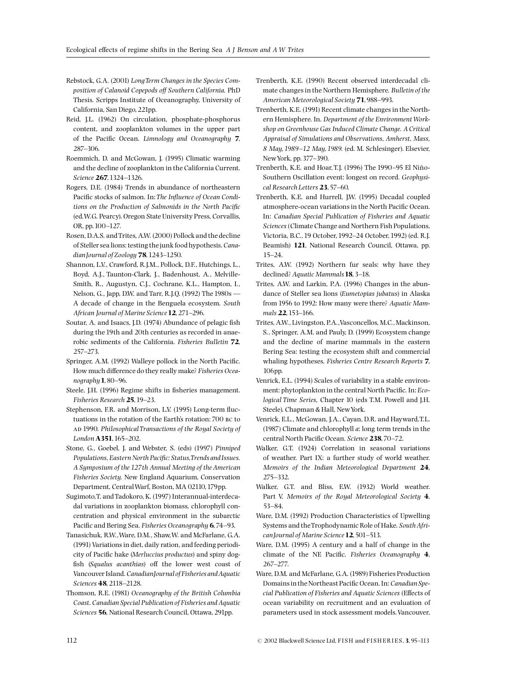Rebstock, G.A. (2001) LongTerm Changes in the Species Composition of Calanoid Copepods off Southern California. PhD Thesis. Scripps Institute of Oceanography, University of California, San Diego, 221pp.

- Reid, J.L. (1962) On circulation, phosphate-phosphorus content, and zooplankton volumes in the upper part of the Pacific Ocean. Limnology and Oceanography 7, 287-306.
- Roemmich, D. and McGowan, J. (1995) Climatic warming and the decline of zooplankton in the California Current. Science 267, 1324-1326.
- Rogers, D.E. (1984) Trends in abundance of northeastern Pacific stocks of salmon. In: The Influence of Ocean Conditions on the Production of Salmonids in the North Pacific (ed.W.G. Pearcy). Oregon State University Press, Corvallis, OR, pp.100^127.
- Rosen, D.A.S. andTrites, A.W. (2000) Pollock and the decline of Steller sea lions: testing the junk food hypothesis. Canadian Journal of Zoology 78, 1243-1250.
- Shannon, L.V., Crawford, R.J.M., Pollock, D.F., Hutchings, L., Boyd, A.J., Taunton-Clark, J., Badenhoust, A., Melville-Smith, R., Augustyn, C.J., Cochrane, K.L., Hampton, I., Nelson, G., Japp, D.W. and Tarr, R.J.Q. (1992) The 1980s -A decade of change in the Benguela ecosystem. South African Journal of Marine Science 12, 271-296.
- Soutar, A. and Isaacs, J.D. (1974) Abundance of pelagic fish during the 19th and 20th centuries as recorded in anaerobic sediments of the California. Fisheries Bulletin 72, 257^273.
- Springer, A.M. (1992) Walleye pollock in the North Pacific. How much difference do they really make? Fisheries Oceanography  $1,80-96$ .
- Steele, J.H. (1996) Regime shifts in fisheries management. Fisheries Research 25, 19-23.
- Stephenson, F.R. and Morrison, L.V. (1995) Long-term fluctuations in the rotation of the Earth's rotation: 700 bc to AD 1990. Philosophical Transactions of the Royal Society of London A351, 165-202.
- Stone, G., Goebel, J. and Webster, S. (eds) (1997) Pinniped Populations, Eastern North Pacific: Status, Trends and Issues. A Symposium of the 127th Annual Meeting of theAmerican Fisheries Society. New England Aquarium, Conservation Department, CentralWarf, Boston, MA 02110,179pp.
- Sugimoto,T. andTadokoro, K. (1997) Interannual-interdecadal variations in zooplankton biomass, chlorophyll concentration and physical environment in the subarctic Pacific and Bering Sea. Fisheries Oceanography 6,74-93.
- Tanasichuk, R.W.,Ware, D.M., Shaw,W. and McFarlane, G.A. (1991) Variations in diet, daily ration, and feeding periodicity of Pacific hake (Merluccius productus) and spiny dogfish (Squalus acanthias) off the lower west coast of Vancouver Island. CanadianJournal of Fisheries andAquatic Sciences 48, 2118-2128.
- Thomson, R.E. (1981) Oceanography of the British Columbia Coast. Canadian Special Publication of Fisheries and Aquatic Sciences 56, National Research Council, Ottawa, 291pp.
- Trenberth, K.E. (1990) Recent observed interdecadal climate changes in the Northern Hemisphere. Bulletin of the American Meteorological Society 71, 988-993.
- Trenberth, K.E. (1991) Recent climate changes in the Northern Hemisphere. In. Department of the Environment Workshop on Greenhouse Gas Induced Climate Change. A Critical Appraisal of Simulations and Observations, Amherst, Mass, 8 May, 1989-12 May, 1989. (ed. M. Schlesinger). Elsevier, New York, pp. 377-390.
- Trenberth, K.E. and Hoar, T.J. (1996) The 1990-95 El Niño-Southern Oscillation event: longest on record. Geophysical Research Letters 23, 57-60.
- Trenberth, K.E. and Hurrell, J.W. (1995) Decadal coupled atmosphere-ocean variations in the North Pacific Ocean. In: Canadian Special Publication of Fisheries and Aquatic Sciences(Climate Change and Northern Fish Populations, Victoria, B.C.,19 October,1992^24 October,1992) (ed. R.J. Beamish) 121, National Research Council, Ottawa, pp. 15^24.
- Trites, A.W. (1992) Northern fur seals: why have they declined? Aquatic Mammals 18, 3-18.
- Trites, A.W. and Larkin, P.A. (1996) Changes in the abundance of Steller sea lions (Eumetopias jubatus) in Alaska from 1956 to 1992: How many were there? Aquatic Mammals 22, 153-166.
- Trites, A.W., Livingston, P.A.,Vasconcellos, M.C.,Mackinson, S., Springer, A.M. and Pauly, D. (1999) Ecosystem change and the decline of marine mammals in the eastern Bering Sea: testing the ecosystem shift and commercial whaling hypotheses. Fisheries Centre Research Reports 7, 106pp.
- Venrick, E.L. (1994) Scales of variability in a stable environment: phytoplankton in the central North Pacific. In: Ecological Time Series, Chapter 10 (eds T.M. Powell and J.H. Steele). Chapman & Hall, NewYork.
- Venrick, E.L., McGowan, J.A., Cayan, D.R. and Hayward,T.L. (1987) Climate and chlorophyll a: long term trends in the central North Pacific Ocean. Science 238,70-72.
- Walker, G.T. (1924) Correlation in seasonal variations of weather. Part IX: a further study of world weather. Memoirs of the Indian Meteorological Department 24, 275^332.
- Walker, G.T. and Bliss, E.W. (1932) World weather. Part V. Memoirs of the Royal Meteorological Society 4, 53-84.
- Ware, D.M. (1992) Production Characteristics of Upwelling Systems and theTrophodynamic Role of Hake. SouthAfrican Journal of Marine Science 12, 501-513.
- Ware, D.M. (1995) A century and a half of change in the climate of the NE Pacific. Fisheries Oceanography  $4$ , 267-277.
- Ware, D.M. and McFarlane, G.A. (1989) Fisheries Production Domains in the Northeast Pacific Ocean. In: Canadian Special Publication of Fisheries and Aquatic Sciences (Effects of ocean variability on recruitment and an evaluation of parameters used in stock assessment models.Vancouver,